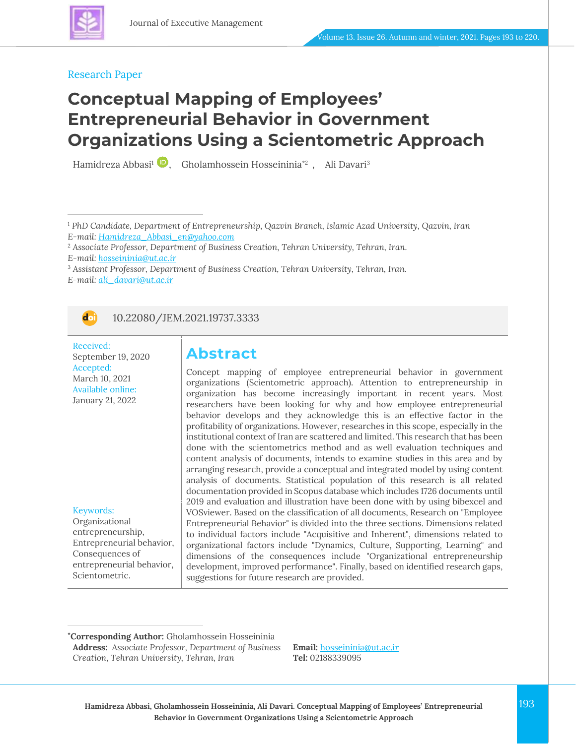

#### Research Paper

# **Conceptual Mapping of Employees' Entrepreneurial Behavior in Government Organizations Using a Scientometric Approach**

Hamidreza Abbasi<sup>1</sup> (2), Gholamhossein Hosseininia\*<sup>2</sup>), Ali Davari<sup>3</sup>

<sup>1</sup> *PhD Candidate, Department of Entrepreneurship, Qazvin Branch, Islamic Azad University, Qazvin, Iran E-mail: [Hamidreza\\_Abbasi\\_en@yahoo.com](mailto:Hamidreza_Abbasi_en@yahoo.com)*

<sup>3</sup> *Assistant Professor, Department of Business Creation, Tehran University, Tehran, Iran. E-mail: [ali\\_davari@ut.ac.ir](mailto:ali_davari@ut.ac.ir)*



10.22080/JEM.2021.19737.3333

Received: September 19, 2020 Accepted: March 10, 2021 Available online: January 21, 2022

#### Keywords:

Organizational entrepreneurship, Entrepreneurial behavior, Consequences of entrepreneurial behavior, Scientometric.

### **Abstract**

Concept mapping of employee entrepreneurial behavior in government organizations (Scientometric approach). Attention to entrepreneurship in organization has become increasingly important in recent years. Most researchers have been looking for why and how employee entrepreneurial behavior develops and they acknowledge this is an effective factor in the profitability of organizations. However, researches in this scope, especially in the institutional context of Iran are scattered and limited. This research that has been done with the scientometrics method and as well evaluation techniques and content analysis of documents, intends to examine studies in this area and by arranging research, provide a conceptual and integrated model by using content analysis of documents. Statistical population of this research is all related documentation provided in Scopus database which includes 1726 documents until 2019 and evaluation and illustration have been done with by using bibexcel and VOSviewer. Based on the classification of all documents, Research on "Employee Entrepreneurial Behavior" is divided into the three sections. Dimensions related to individual factors include "Acquisitive and Inherent", dimensions related to organizational factors include "Dynamics, Culture, Supporting, Learning" and dimensions of the consequences include "Organizational entrepreneurship development, improved performance". Finally, based on identified research gaps, suggestions for future research are provided.

**\*Corresponding Author:** Gholamhossein Hosseininia **Address:** *Associate Professor, Department of Business Creation, Tehran University, Tehran, Iran*

**Email:** [hosseininia@ut.ac.i](mailto:hosseininia@ut.ac.ir)*r* **Tel:** 02188339095

<sup>2</sup> *Associate Professor, Department of Business Creation, Tehran University, Tehran, Iran. E-mail: [hosseininia@ut.ac.ir](mailto:hosseininia@ut.ac.ir)*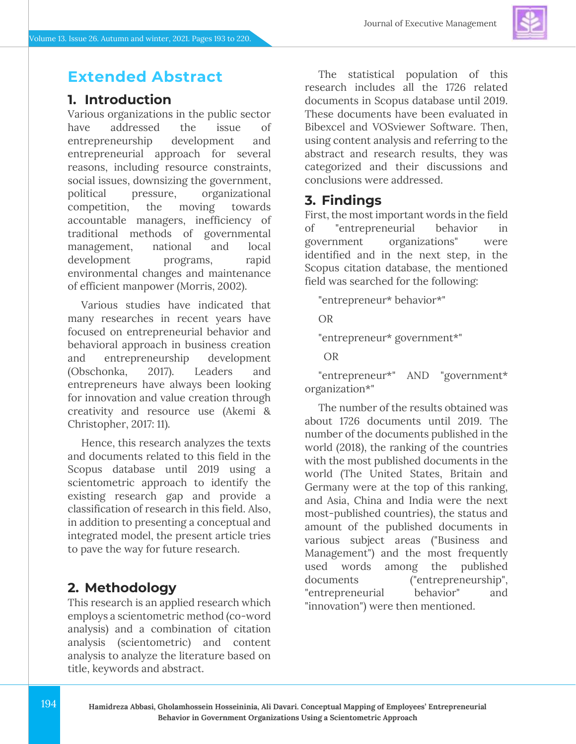## **Extended Abstract**

### **1. Introduction**

Various organizations in the public sector have addressed the issue of entrepreneurship development and entrepreneurial approach for several reasons, including resource constraints, social issues, downsizing the government, political pressure, organizational competition, the moving towards accountable managers, inefficiency of traditional methods of governmental management, national and local development programs, rapid environmental changes and maintenance of efficient manpower (Morris, 2002).

Various studies have indicated that many researches in recent years have focused on entrepreneurial behavior and behavioral approach in business creation and entrepreneurship development (Obschonka, 2017). Leaders and entrepreneurs have always been looking for innovation and value creation through creativity and resource use (Akemi & Christopher, 2017: 11).

Hence, this research analyzes the texts and documents related to this field in the Scopus database until 2019 using a scientometric approach to identify the existing research gap and provide a classification of research in this field. Also, in addition to presenting a conceptual and integrated model, the present article tries to pave the way for future research.

### **2. Methodology**

This research is an applied research which employs a scientometric method (co-word analysis) and a combination of citation analysis (scientometric) and content analysis to analyze the literature based on title, keywords and abstract.

The statistical population of this research includes all the 1726 related documents in Scopus database until 2019. These documents have been evaluated in Bibexcel and VOSviewer Software. Then, using content analysis and referring to the abstract and research results, they was categorized and their discussions and conclusions were addressed.

### **3. Findings**

First, the most important words in the field of "entrepreneurial behavior in government organizations" were identified and in the next step, in the Scopus citation database, the mentioned field was searched for the following:

"entrepreneur\* behavior\*"

OR

"entrepreneur\* government\*"

OR

"entrepreneur\*" AND "government\* organization\*"

The number of the results obtained was about 1726 documents until 2019. The number of the documents published in the world (2018), the ranking of the countries with the most published documents in the world (The United States, Britain and Germany were at the top of this ranking, and Asia, China and India were the next most-published countries), the status and amount of the published documents in various subject areas ("Business and Management") and the most frequently used words among the published documents ("entrepreneurship", "entrepreneurial behavior" and "innovation") were then mentioned.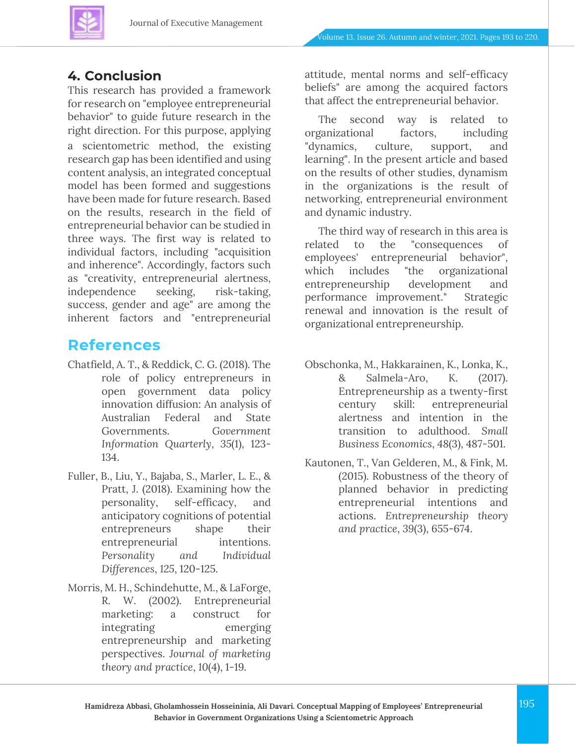

### **4. Conclusion**

This research has provided a framework for research on "employee entrepreneurial behavior" to guide future research in the right direction. For this purpose, applying a scientometric method, the existing research gap has been identified and using content analysis, an integrated conceptual model has been formed and suggestions have been made for future research. Based on the results, research in the field of entrepreneurial behavior can be studied in three ways. The first way is related to individual factors, including "acquisition and inherence". Accordingly, factors such as "creativity, entrepreneurial alertness, independence seeking, risk-taking, success, gender and age" are among the inherent factors and "entrepreneurial

### **References**

- Chatfield, A. T., & Reddick, C. G. (2018). The role of policy entrepreneurs in open government data policy innovation diffusion: An analysis of Australian Federal and State Governments. *Government Information Quarterly*, *35*(1), 123- 134.
- Fuller, B., Liu, Y., Bajaba, S., Marler, L. E., & Pratt, J. (2018). Examining how the personality, self-efficacy, and anticipatory cognitions of potential entrepreneurs shape their entrepreneurial intentions. *Personality and Individual Differences*, *125*, 120-125.
- Morris, M. H., Schindehutte, M., & LaForge, R. W. (2002). Entrepreneurial marketing: a construct for integrating emerging entrepreneurship and marketing perspectives. *Journal of marketing theory and practice*, *10*(4), 1-19.

attitude, mental norms and self-efficacy beliefs" are among the acquired factors that affect the entrepreneurial behavior.

The second way is related to organizational factors, including "dynamics, culture, support, and learning". In the present article and based on the results of other studies, dynamism in the organizations is the result of networking, entrepreneurial environment and dynamic industry.

The third way of research in this area is related to the "consequences of employees' entrepreneurial behavior", which includes "the organizational entrepreneurship development and performance improvement." Strategic renewal and innovation is the result of organizational entrepreneurship.

- Obschonka, M., Hakkarainen, K., Lonka, K., & Salmela-Aro, K. (2017). Entrepreneurship as a twenty-first century skill: entrepreneurial alertness and intention in the transition to adulthood. *Small Business Economics*, *48*(3), 487-501.
- Kautonen, T., Van Gelderen, M., & Fink, M. (2015). Robustness of the theory of planned behavior in predicting entrepreneurial intentions and actions. *Entrepreneurship theory and practice*, *39*(3), 655-674.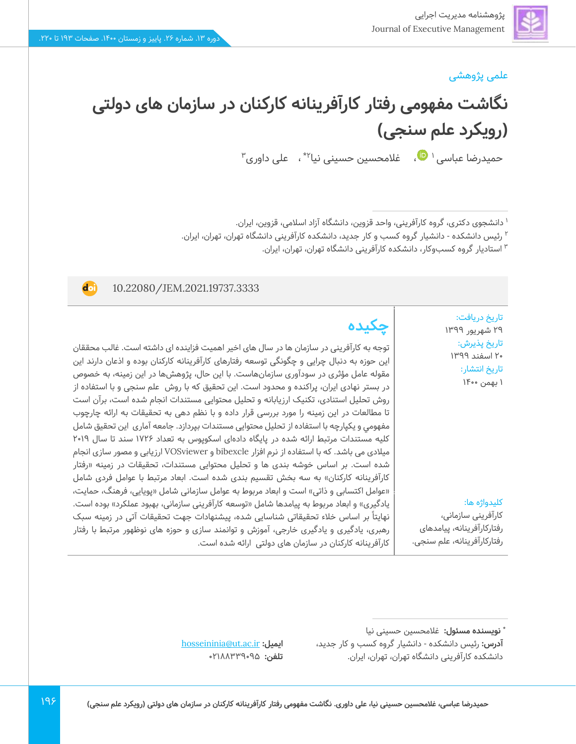**doi** 

### علمی پژوهشی

**نگاشت مفهومی رفتار کارآفرینانه کارکنان در سازمان های دولتی )رویکرد علم سنجی(** حمیدرضا عباسی امال علامحسین حسینی نیا<sup>۲</sup>\* ، علی داوری ّ

<sup>۱</sup> دانشجوی دکتری، گروه کارآفرینی، واحد قزوین، دانشگاه آزاد اسلامی، قزوین، ایران.

<sup>۲</sup> رئیس دانشکده - دانشیار گروه کسب و کار جدید، دانشکده کارآفرینی دانشگاه تهران، تهران، ایران.

استادیار گروه کسبوکار، دانشکده کارآفرینی دانشگاه تهران، تهران، ایران. <sup>3</sup>

#### 10.22080/JEM.2021.19737.3333

تاریخ دریافت: 29 شهریور 1399 تاریخ پذیرش : 20 اسفند 1399 تاریخ انتشار: 1 بهمن 1400

## **چکیده**

توجه به کارآفرینی در سازمان ها در سال های اخیر اهمیت فزاینده ای داشته است. غالب محققان این حوزه به دنبال چرایی و چگونگی توسعه رفتارهای کارآفرینانه کارکنان بوده و اذعان دارند این مقوله عامل مؤثری در سودآوری سازمانهاست. با این حال، پژوهشها در این زمینه، به خصوص در بستر نهادی ایران، پراکنده و محدود است. این تحقیق که با روش علم سنجی و با استفاده از روش تحلیل استنادی، تکنیک ارزیابانه و تحلیل محتوایی مستندات انجام شده است، برآن است تا مطالعات در این زمینه را مورد بررسی قرار داده و با نظم دهی به تحقیقات به ارائه چارچوب مفهومي و يكپارچه با استفاده از تحلیل محتوایی مستندات بپردازد. جامعه آماری این تحقیق شامل کلیه مستندات مرتبط ارائه شده در پایگاه دادهای اسکوپوس به تعداد 1726 سند تا سال 2019 میالدی می باشد. که با استفاده از نرم افزار bibexcle و VOSviewer ارزیابی و مصور سازی انجام شده است. بر اساس خوشه بندی ها و تحلیل محتوایی مستندات، تحقیقات در زمینه »رفتار کارآفرینانه کارکنان» به سه بخش تقسیم بندی شده است. ابعاد مرتبط با عوامل فردی شامل «عوامل اکتسابی و ذاتی» است و ابعاد مربوط به عوامل سازمانی شامل «پویایی، فرهنگ، حمایت، یادگیری» و ابعاد مربوط به پیامدها شامل «توسعه کارآفرینی سازمانی، بهبود عملکرد» بوده است. نهایتا بر اساس خالء تحقیقاتی شناسایی شده، پیشنهادات جهت تحقیقات آتی در زمینه سبک رهبری، یادگیری و یادگیری خارجی، آموزش و توانمند سازی و حوزه های نوظهور مرتبط با رفتار کارآفرینانه کارکنان در سازمان های دولتی ارائه شده است.

#### کلیدواژه ها:

کارآفرینی سازمانی، رفتارکارآفرینانه، پیامدهای رفتارکارآفرینانه، علم سنجی.

[hosseininia@ut.ac.ir](file:///C:/Users/farha/Downloads/hosseininia@ut.ac.ir) **:ایمیل تلفن:** 02188339095

**<sup>\*</sup> نویسنده مسئول :** غالمحسین حسینی نی ا **آدرس:** رئیس دانشکده - دانشیار گروه کسب و کار جدید، دانشکده کارآفرینی دانشگاه تهران، تهران، ایران.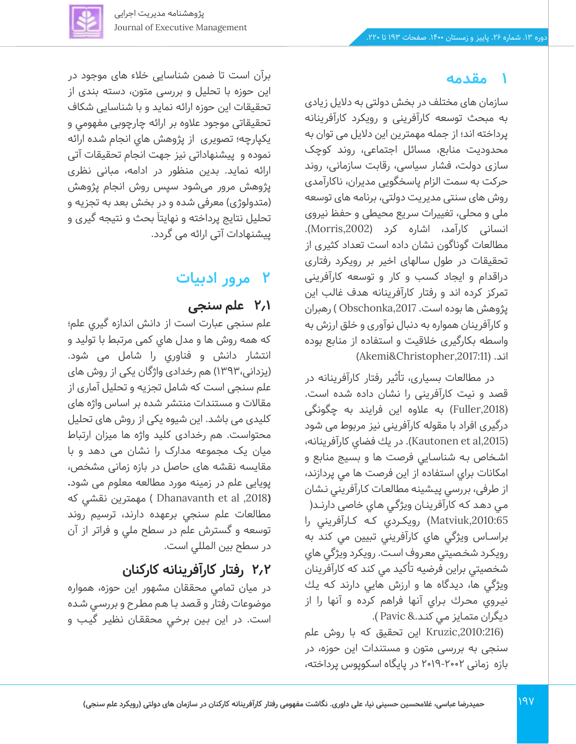## **1 مقدمه**

سازمان های مختلف در بخش دولتی به دالیل زیادی به مبحث توسعه کارآفرینی و رویکرد کارآفرینانه پرداخته اند؛ از جمله مهمترین این دالیل می توان به محدودیت منابع، مسائل اجتماعی، روند کوچک سازی دولت، فشار سیاسی، رقابت سازمانی، روند حرکت به سمت الزام پاسخگویی مدیران، ناکارآمدی روش های سنتی مدیریت دولتی، برنامه های توسعه ملی و محلی، تغییرات سریع محیطی و حفظ نیروی انسانی کارآمد، اشاره کرد (Morris,2002). مطالعات گوناگون نشان داده است تعداد کثیری از تحقیقات در طول سالهای اخیر بر رویکرد رفتاری دراقدام و ایجاد کسب و کار و توسعه کارآفرینی تمرکز کرده اند و رفتار کارآفرینانه هدف غالب این پژوهش ها بوده است. Obschonka,2017 ) رهبران و کارآفرینان همواره به دنبال نوآوری و خلق ارزش به واسطه بکارگیری خالقیت و استفاده از منابع بوده )Akemi&Christopher,2017:11) .اند

در مطالعات بسیاری، تأثیر رفتار کارآفرینانه در قصد و نیت کارآفرینی را نشان داده شده است. (,2018Fuller )به عالوه این فرایند به چگونگی درگیری افراد با مقوله کارآفرینی نیز مربوط می شود ),2015al et Kautonen). در يك فضاي كارآفرينانه، اشـخاص بـه شناسـايي فرصت ها و بسيج منابع و امكانات براي استفاده از اين فرصت ها مي پردازند، از طرفی، بررسي پيـشينه مطالعـات كـارآفريني نـشان مـي دهـد كـه كارآفرينـان ويژگـي هـاي خاصی دارنــد( ,2010:65Matviuk (رويكــردي كــه كــارآفريني را براســاس ويژگي هاي كارآفريني تبيين مي كند به رويكـرد شخـصيتي معـروف اسـت. رويكرد ويژگي هاي شخصيتي براين فرضيه تأ كيد مي كند كه كارآفرينان ويژگي ها، ديدگاه ها و ارزش هايي دارند كـه يـك نيـروي محـرك بـراي آنها فراهم كرده و آنها را از ديگران متمـايز مـي كنـد.& Pavic( .

این تحقیق که با روش علم Kruzic,2010:216) سنجی به بررسی متون و مستندات این حوزه، در بازه زمانی 2019-2002 در پایگاه اسکوپوس پرداخته،

برآن است تا ضمن شناسایی خالء های موجود در این حوزه با تحلیل و بررسی متون، دسته بندی از تحقیقات این حوزه ارائه نماید و با شناسایی شکاف تحقیقاتی موجود عالوه بر ارائه چارچوبی مفهومي و يكپارچه؛ تصويری از پژوهش هاي انجام شده ارائه نموده و پیشنهاداتی نيز جهت ا نجام تحقیقات آتی ارائه نماید. بدین منظور در ادامه، مبانی نظری پژوهش مرور می شود سپس روش انجام پژوهش (متدولوژی) معرفی شده و در بخش بعد به تجزیه و تحلیل نتایج پرداخته و نهایتا َبحث و نتیجه گیری و پیشنهادات آتی ارائه می گردد.

# **2 مرور ادبیات**

### **2.1 علم سنجی**

علم سنجی عبارت است از دانش اندازه گیري علم؛ که همه روش ها و مدل هاي کمی مرتبط با تولید و انتشار دانش و فناوري را شامل می شود. (یزدانی،۱۳۹۳) هم رخدادی واژگان یکی از روش های علم سنجی است که شامل تجزیه و تحلیل آماری از مقاالت و مستندات منتشر شده بر اساس واژه های کلیدی می باشد. این شیوه یکی از روش های تحلیل محتواست. هم رخدادی کلید واژه ها میزان ارتباط میان یک مجموعه مدارک را نشان می دهد و با مقایسه نقشه های حاصل در بازه زمان ی مشخص، پو یایی علم در زمینه مورد مطالعه معلوم می شود**. )**,2018 al et Dhanavanth ) مهمترین نقشي كه مطالعات علم سنجي برعهده دارند، ترسيم روند توسعه و گسترش علم در سطح ملي و فراتر از آن در سطح بين المللي است.

# **2.2 رفتار کارآفرینانه کارکنان**

در ميان تمامى محققان مشهور اين حوزه، همواره موضوعات رفتار و قـصد بـا هـم مطـرح و بررسـي شـده است. در اين بـين برخـي محققـان نظيـر گيـب و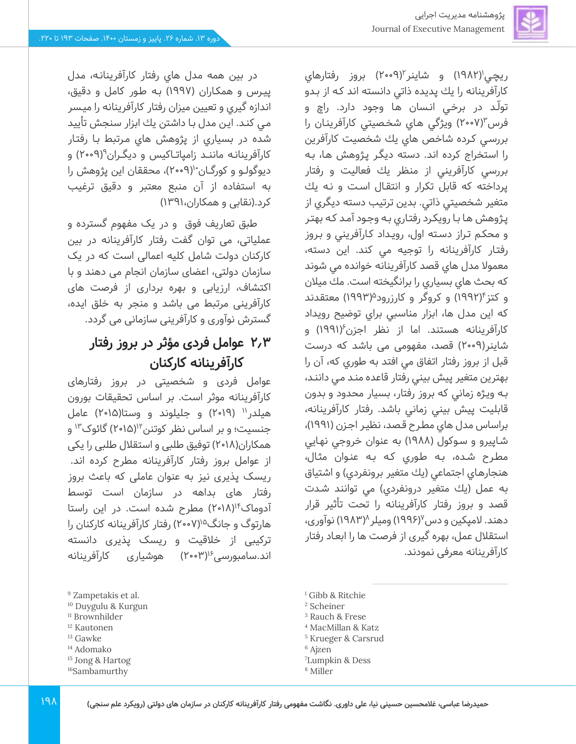

در بين همه مدل هاي رفتار كارآفرينانـه، مدل پيـرس و همكـاران ) 1997( بـه طـور كامل و دقيق، اندازه گيري و تعيين ميزان رفتار كارآفرينانه را ميـسر مـي كنـد. ايـن مدل بـا داشتن يك ابزار سنجش تأييد شده در بسياري از پژوهش هاي مـرتبط بـا رفتـار کارآفرینانـه ماننـد زامپاتــاکیس و دیگـران°(۹۰•۲) و دیوگولـو و کورگـان (۲۰۰۹)، محققان این پژوهش را به استفاده از آن منبع معتبر و دقیق ترغیب

طبق تعاریف فوق و در یک مفهوم گسترده و عملیاتی، می توان گفت رفتار کارآفرینانه در بین کارکنان دولت شامل کلیه اعمالی است که در یک سازمان دولتی، اعضای سازمان انجام می دهند و با اکتشاف، ارزیابی و بهره برداری از فرصت های کارآفرینی مرتبط می باشد و منجر به خلق ایده، گسترش نوآوری و کارآفرینی سازمانی می گردد.

**2.3 عوامل فردی مؤثر در بروز رفتار** 

عوامل فردی و شخصیتی در بروز رفتارهای کارآفرینانه موثر است. بر اساس تحقیقات بورون هیلدر" (۲۰۱۹) و جلیلوند و وستا(۲۰۱۵) عامل جنسیت؛ و بر اساس نظر کوتنن'۱'(۲۰۱۵) گائوک'۱<sup>۳</sup> و همکاران(۱۸•۲) توفیق طلبی و استقلال طلبی را یکی از عوامل بروز رفتار کارآفرینانه مطرح کرده اند. ریسک پذیری نیز به عنوان عاملی که باعث بروز رفتار های بداهه در سازمان است توسط آدوماک<sup>۱۴</sup>(۲۰۱۸) مطرح شده است. در این راستا هارتوگ و جانگ<sup>۱۵</sup>(۲۰۰۷) رفتار کارآفرینانه کارکنان را ترکیبی از خلاقیت و ریسک پذیری دانسته اند.سامبورسی<sup>۱۶</sup>(۲۰۰۳) هوشیاری کارآفرینانه

**کارآفرینانه کارکنان** 

کرد.)نقابی و همکاران1391،(

ریچی'(۱۹۸۲) و شاینر'۲۰۰۹) بروز رفتارهای كارآفرينانه را يك پديده ذاتي دانسته اند كـه از بـدو تولـّد در برخـي انـسان هـا وجود دارد. راچ و فرس (٢٠٠٧) ويژگي هاي شخصيتي كارآفرينان را بررسـي كـرده شاخص هاي يك شخصيت كارآفرين را استخراج كرده اند. دسته ديگـر پـژوهش هـا، بـه بررسي كارآفريني از منظر يك فعاليت و رفتار پرداخته كه قابل تكرار و انتقـال اسـت و نـه يك متغير شخصيتي ذاتي. بدين ترتيب دسته ديگري از پـژوهش هـا بـا رويكـرد رفتـاري بـه وجـود آمـد كـه بهتـر و محكـم تـراز دسـته اول، رويـداد كـارآفريني و بـروز رفتـار كارآفرينانه را توجيه مي كند. اين دسته، معموال مدل هاي قصد كارآفرينانه خوانده مي شوند كه بحث هاي بسياري را برانگيخته است. مك ميالن و كتز<sup>۴</sup>(۱۹۹۲) و كروگر و كارزرود<sup>۵</sup>(۱۹۹۳) معتقدند كه اين مدل ها، ابزار مناسبي براي توضيح رويداد کارآفرینانه هستند. اما از نظر اجزن ۱۹۹۱) و شاینر)2009( قصد، مفهومی می باشد که درست قبل از بروز رفتار اتفاق مي افتد به طوري كه، آن را بهترين متغير پيش بيني رفتار قاعده منـد مـي داننـد، بـه ويـژه زماني كه بروز رفتار، بسيار محدود و بدون قابليت پيش بيني زماني باشد. رفتار كارآفرينانه، براساس مدل هاي مطـرح قـصد، نظيـر اجـزن )1991(، شـاپيرو و سـوكول (١٩٨٨) به عنوان خروجي نهـايي مطـرح شـده، بـه طـوري كـه بـه عنـوان مثـال، هنجارهاي اجتماعي (يك متغير برونفردي) و اشتياق به عمل (يك متغير درونفردي) مي توانند شدت قصد و بروز رفتار كارآفرينانه را تحت تأثير قرار دهند. لامپکین و دس<sup>۷</sup>(۱۹۹۶) ومیلر ۱۹۸۳) نوآوری، استقالل عمل، بهره گیری از فرصت ها را ابعـاد رفتار كارآفرينانه معرفی نمودند.

- <sup>9</sup> Zampetakis et al.
- <sup>10</sup> Duygulu & Kurgun
- <sup>11</sup> Brownhilder
- <sup>12</sup> Kautonen
- <sup>13</sup> Gawke
- <sup>14</sup> Adomako
- <sup>15</sup> Jong & Hartog
- <sup>16</sup>Sambamurthy

<sup>1</sup> Gibb & Ritchie

<sup>2</sup> Scheiner

- <sup>3</sup> Rauch & Frese
- <sup>4</sup> MacMillan & Katz
- <sup>5</sup> Krueger & Carsrud
- <sup>6</sup> Ajzen
- <sup>7</sup>Lumpkin & Dess
- <sup>8</sup> Miller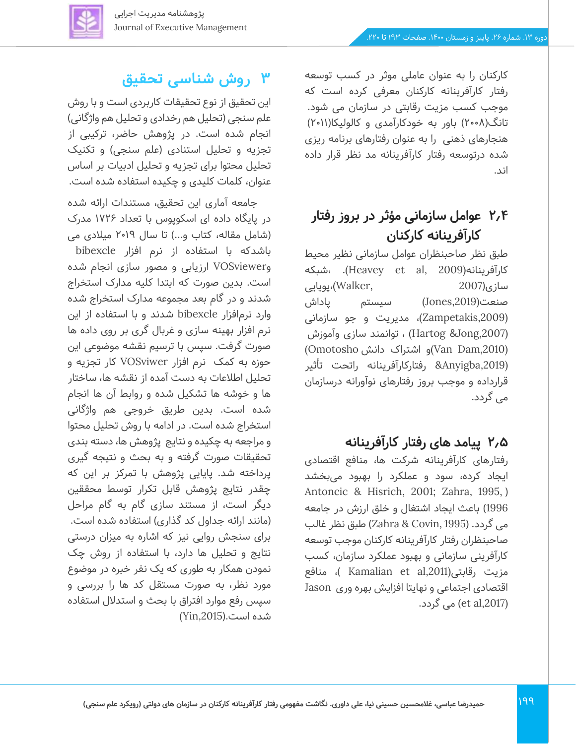

## **2.4 عوامل سازمانی مؤثر در بروز رفتار کارآفرینانه کارکنان**

طبق نظر صاحبنظران عوامل سازمانی نظیر محیط شبکه، .)Heavey et al, 2009)کارآفرینانه سازی)2007 ,Walker(،پویایی صنعت(,2019Jones (سیستم پاداش  $(Zampetakis, 2009)$ ، مدیریت و جو سازمانی (,2007Jong &Hartog (، توانمند سازی وآموزش (Van Dam,2010)و اشتراک دانش Omotosho) (,2019Anyigba &رفتارکارآفرینانه راتحت تأثیر قرارداده و موجب بروز رفتارهای نوآورانه درسازمان می گردد.

### **2.5 پیامد های رفتار کارآفرینانه**

رفتارهای کارآفرینانه شرکت ها، منافع اقتصادی ایجاد کرده، سود و عملکرد را بهبود می بخشد Antoncic & Hisrich, 2001; Zahra, 1995, ) 1996( باعث ا یجاد اشتغال و خلق ارزش در جامعه می گردد. )1995 ,Covin & Zahra )طبق نظر غالب صاحبنظران رفتار کارآفرینانه کارکنان موجب توسعه کارآفرینی سازمانی و بهبود عملکرد سازمان، کسب مزیت رقابتی(,2011al et Kamalian) ، منافع اقتصادی اجتماعی و نهایتا افزایش بهره وری Jason (et al,2017) می گردد.

# **3 روش شناسی تحقیق**

این تحقیق از نوع تحقیقات کاربردی است و با روش علم سنجی (تحلیل هم رخدادی و تحلیل هم واژگانی) انجام شده است. در پژوهش حاضر، ترکیبی از تجزیه و تحلیل استنادی (علم سنجی) و تکنیک تحلیل محتوا برای تجزیه و تحلیل ادبیات بر اساس عنوان، کلمات کلیدی و چکیده استفاده شده است.

جامعه آماری این تحقیق، مستندات ارائه شده در پایگاه داده ای اسکوپوس با تعداد 1726 مدرک )شامل مقاله، کتاب و...( تا سال 2019 میالدی می باشدکه با استفاده از نرم افزار bibexcle وVOSviewer ارزیابی و مصور سازی انجام شده است. بدین صورت که ابتدا کلیه مدارک استخراج شدند و در گام بعد مجموعه مدارک استخراج شده وارد نرمافزار bibexcle شدند و با استفاده از این نرم افزار بهینه سازی و غربال گری بر روی داده ها صورت گرفت. سپس با ترسیم نقشه موضوعی این حوزه به کمک نرم افزار VOSviwer کار تجزیه و تحلیل اطالعات به دست آمده از نقشه ها، ساختار ها و خوشه ها تشکیل شده و روابط آن ها انجام شده است. بدین طریق خروجی هم واژگانی استخراج شده است. در ادامه با روش تحلیل محتوا و مراجعه به چکیده و نتایج پژوهش ها، دسته بندی تحقیقات صورت گرفته و به بحث و نتیجه گیری پرداخته شد. پایایی پژوهش با تمرکز بر این که چقدر نتایج پژوهش قابل تکرار توسط محققین دیگر است، از مستند سازی گام به گام مراحل (مانند ارائه جداول کد گذاری) استفاده شده است. برای سنجش روایی نیز که اشاره به میزان درستی نتایج و تحلیل ها دارد، با استفاده از روش چک نمودن همکار به طوری که یک نفر خبره در موضوع مورد نظر، به صورت مستقل کد ها را بررسی و سپس رفع موارد افتراق با بحث و استدالل استفاده شده است.),2015Yin(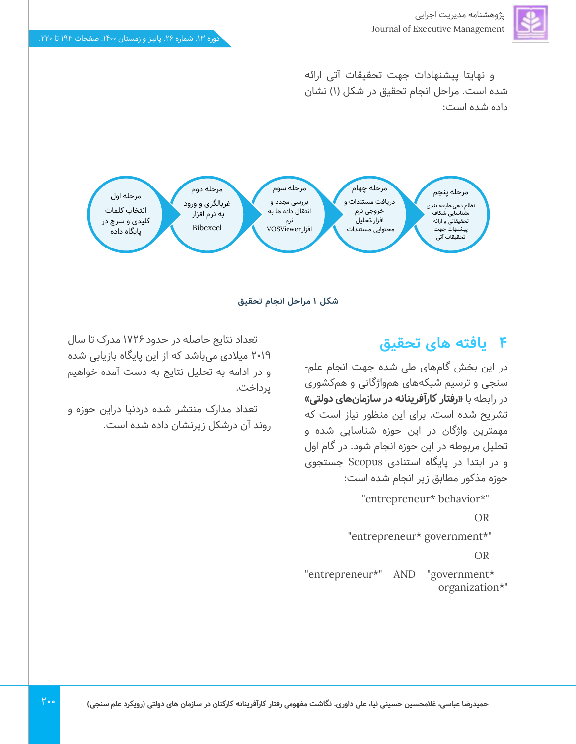

و نهایتا پیشنهادات جهت تحقیقات آتی ارائه شده است. مراحل انجام تحقیق در شکل )1( نشان داده شده است:



**شکل 1 مراحل انجام تحقیق** 

### **4 یافته های تحقیق**

در این بخش گام های طی شده جهت انجام علم- سنجی و ترسیم شبکههای همواژگانی و هم کشوری در رابطه با **»رفتار کارآفرینانه در سازمانهای دولتی«**  تشریح شده است. برای این منظور نیاز است که مهمترین واژگان در این حوزه شناسایی شده و تحلیل مربوطه در این حوزه انجام شود. در گام اول و در ابتدا در پایگاه استنادی Scopusجستجوی حوزه مذکور مطابق زیر انجام شده است:

"entrepreneur\* behavior\*"

OR

"entrepreneur\* government\*"

OR

"entrepreneur\*" AND "government\* organization\*"

تعداد نتایج حاصله در حدود 1726 مدرک تا سال 2019 میالدی میباشد که از این پایگاه بازیابی شده و در ادامه به تحلیل نتایج به دست آمده خواهیم پرداخت.

تعداد مدارک منتشر شده دردنیا دراین حوزه و روند آن درشکل زیرنشان داده شده است.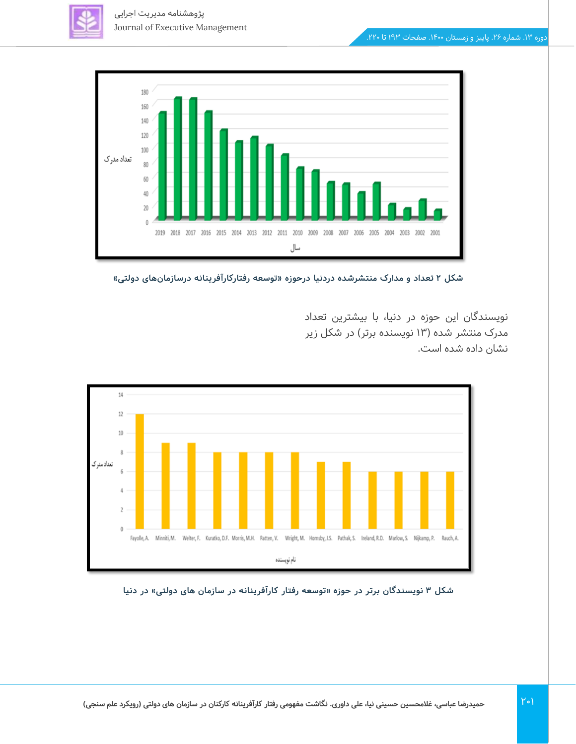



**شکل 2 تعداد و مدارک منتشرشده دردنیا درحوزه »توسعه رفتارکارآفرینانه درسازمان های دولتی «** 

نویسندگان این حوزه در دنیا، با بیشترین تعداد مدرک منتشر شده (۱۳ نویسنده برتر) در شکل زیر نشان داده شده است.



شکل ۳ نویسندگان برتر در حوزه «توسعه رفتار کارآفرینانه در سازمان های دولتی» در دنیا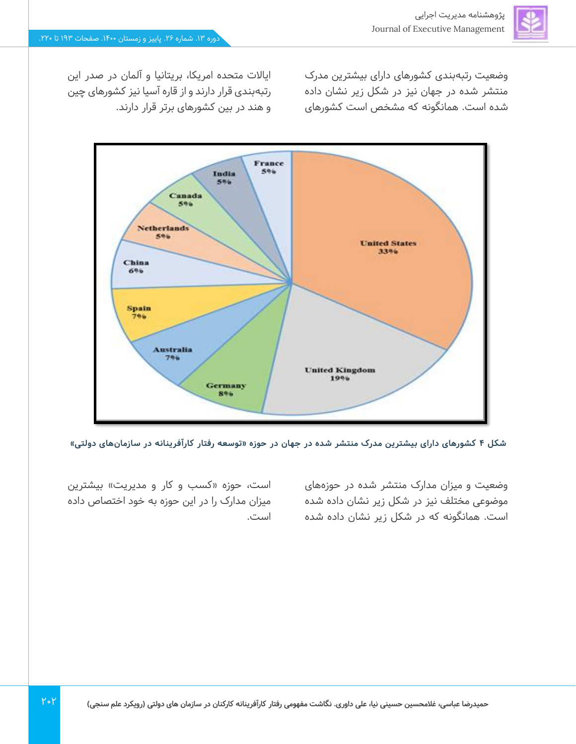وضعیت رتبهبندی کشورهای دارای بیشترین مدرک منتشر شده در جهان نیز در شکل زیر نشان داده شده است. همانگونه که مشخص است کشورهای

ایاالت متحده امریکا، بریتانیا و آلمان در صدر این رتبهبندی قرار دارند و از قاره آسیا نیز کشورهای چین و هند در بین کشورهای برتر قرار دارند.



**شکل 4 کشورهای دارای بیشترین مدرک منتشر شده در جهان در حوزه »توسعه رفتار کارآفرینانه در سازمان های دولتی «** 

وضعیت و میزان مدارک منتشر شده در حوزههای موضوعی مختلف نیز در شکل زیر نشان داده شده است. همانگونه که در شکل زیر نشان داده شده

است، حوزه «کسب و کار و مدیریت» بیشترین میزان مدارک را در این حوزه به خود اختصاص داده است.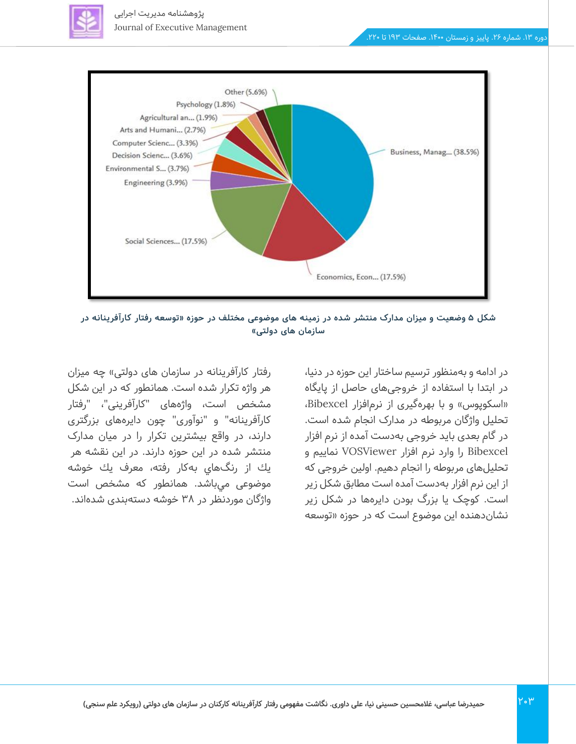



شکل ۵ وضعیت و میزان مدارک منتشر شده در زمینه های موضوعی مختلف در حوزه «توسعه رفتار کارآفرینانه در سازمان های دولتی»

در ادامه و بهمنظور ترسیم ساختار این حوزه در دنیا، در ابتدا با استفاده از خروجیهای حاصل از پایگاه «اسکوپوس» و با بهرهگیری از نرمافزار Bibexcel، تحلیل واژگان مربوطه در مدارک انجام شده است. در گام بعدی باید خروجی به دست آمده از نرم افزار Bibexcel را وارد نرم افزار VOSViewer نماییم و تحلیلهای مربوطه را انجام دهیم. اولین خروجی که از این نرم افزار به دست آمده است مطابق شکل زیر است. کوچک یا بزرگ بودن دایرهها در شکل زیر نشان دهنده این موضوع است که در حوزه »توسعه

رفتار کارآفرینانه در سازمان های دولتی» چه میزان هر واژه تکرار شده است. همانطور که در این شکل مشخص است، واژه های "کارآفرینی"، "رفتار کارآفرینانه" و "نوآوری" چون دایره های بزرگتری دارند، در واقع بیشترین تکرار را در میان مدارک منتشر شده در این حوزه دارند. در اين نقشه هر يك از رنگهاي بهكار رفته، معرف يك خوشه موضوعی مي باشد. همانطور که مشخص است واژگان موردنظر در 38 خوشه دستهبندی شدهاند.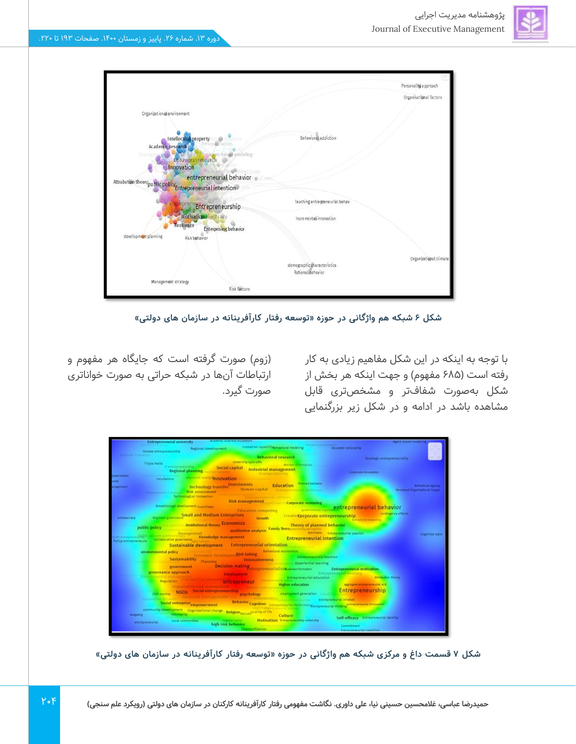

شکل ۶ شبکه هم واژگانی در حوزه «توسعه رفتار کارآفرینانه در سازمان های دولتی»

با توجه به اینکه در این شکل مفاهیم زیادی به کار رفته است (۶۸۵ مفهوم) و جهت اینکه هر بخش از شکل بهصورت شفافتر و مشخصتری قابل مشاهده باشد در ادامه و در شکل زیر بزرگنمایی

)زوم( صورت گرفته است که جایگاه هر مفهوم و ارتباطات آنها در شبکه حراتی به صورت خواناتری صورت گیرد.

|                             | <b>Entrepreneurial university</b> |                                                                                                               |                                                              |                                                                                                                                                                                                                                | <b>Founded rationality</b>                                                                                                                                                                                                     | gerd dasad mod                                                      |
|-----------------------------|-----------------------------------|---------------------------------------------------------------------------------------------------------------|--------------------------------------------------------------|--------------------------------------------------------------------------------------------------------------------------------------------------------------------------------------------------------------------------------|--------------------------------------------------------------------------------------------------------------------------------------------------------------------------------------------------------------------------------|---------------------------------------------------------------------|
|                             | female entrepreneurship           |                                                                                                               | Regional development in the capability clay bayonal modeling |                                                                                                                                                                                                                                |                                                                                                                                                                                                                                |                                                                     |
|                             |                                   |                                                                                                               |                                                              | Behavioral research                                                                                                                                                                                                            | Strategic entrepreneurship.                                                                                                                                                                                                    |                                                                     |
|                             | <b>Triple Helix</b>               |                                                                                                               |                                                              | university spin-offs and consumer Market of entation                                                                                                                                                                           |                                                                                                                                                                                                                                |                                                                     |
|                             |                                   | Terminente Social capital Industrial management<br>Regional planning and the process of the Contract planning |                                                              |                                                                                                                                                                                                                                | Corporate innovation                                                                                                                                                                                                           |                                                                     |
| <b>NH FRAMA RE</b>          |                                   | Incubators <b>Companie Engine Innovation</b>                                                                  |                                                              |                                                                                                                                                                                                                                |                                                                                                                                                                                                                                |                                                                     |
|                             |                                   |                                                                                                               |                                                              |                                                                                                                                                                                                                                |                                                                                                                                                                                                                                |                                                                     |
| clapsment.                  |                                   |                                                                                                               |                                                              | technology transfer myestments Education Remeterance<br>Human capital compressions about a                                                                                                                                     |                                                                                                                                                                                                                                | <b>Behaviorst agency</b><br><b>Received Organisations! Supplies</b> |
|                             |                                   | Risk assessment<br>Technological innovation                                                                   |                                                              |                                                                                                                                                                                                                                |                                                                                                                                                                                                                                |                                                                     |
|                             |                                   |                                                                                                               | <b>C. Entrapresentat stands</b>                              | Risk management and an in Corporate venturing                                                                                                                                                                                  |                                                                                                                                                                                                                                |                                                                     |
|                             |                                   | breakthrough development recordings.                                                                          |                                                              |                                                                                                                                                                                                                                | <b>Iducation computing computing and a property of property entrepreneurial behavior</b>                                                                                                                                       |                                                                     |
|                             |                                   | <b>England poetnance Small and Medium Enterprises</b>                                                         |                                                              |                                                                                                                                                                                                                                | contingency effects                                                                                                                                                                                                            |                                                                     |
| <b>Dollar Harry</b>         |                                   |                                                                                                               |                                                              | Growth Creativ Corporate entrepreneurship                                                                                                                                                                                      |                                                                                                                                                                                                                                |                                                                     |
|                             |                                   | public policy and the Institutional theory Economics                                                          |                                                              |                                                                                                                                                                                                                                |                                                                                                                                                                                                                                |                                                                     |
|                             |                                   |                                                                                                               |                                                              |                                                                                                                                                                                                                                | Alertheid Extrepreseurial passion                                                                                                                                                                                              | Cognitive style                                                     |
| <b>Follow entrepreneurs</b> |                                   |                                                                                                               |                                                              | Management tricky examples to the analysis Tamily films, Theory of planned behavior (analysis Tamily films) and the strategy of the strategy of the analysis Collaborative government (and the strategy of the strategy manage |                                                                                                                                                                                                                                |                                                                     |
|                             |                                   | Sustainable development Entrepreneurial orientation                                                           |                                                              |                                                                                                                                                                                                                                |                                                                                                                                                                                                                                |                                                                     |
|                             | environmental policy              |                                                                                                               |                                                              | Behavioral economics                                                                                                                                                                                                           |                                                                                                                                                                                                                                |                                                                     |
|                             |                                   | Economic Developme Risk taking                                                                                |                                                              | Entrepreneurship Intention                                                                                                                                                                                                     |                                                                                                                                                                                                                                |                                                                     |
|                             |                                   | Sustainability <sub>Planning</sub> Innovativeness                                                             |                                                              | <b>That's and immunity Experiential Tearning</b>                                                                                                                                                                               |                                                                                                                                                                                                                                |                                                                     |
|                             | governance approach               |                                                                                                               |                                                              |                                                                                                                                                                                                                                | government Decision making repreneurialism and terrator Entrepreneurial motivation                                                                                                                                             |                                                                     |
|                             |                                   |                                                                                                               |                                                              | Employment Charles Entrepreneurial education                                                                                                                                                                                   | Entrepreneurent Brancher<br>Attribution theory                                                                                                                                                                                 |                                                                     |
|                             | Regulation, SMITH                 |                                                                                                               | <b>Antimonion trepreneur</b>                                 |                                                                                                                                                                                                                                | Experience of the concession and the concession of the concession of the concession of the concession and the present environment and the concession of the concession of the concession of the concession of the concession o |                                                                     |
|                             |                                   |                                                                                                               |                                                              |                                                                                                                                                                                                                                |                                                                                                                                                                                                                                |                                                                     |
|                             |                                   |                                                                                                               |                                                              |                                                                                                                                                                                                                                |                                                                                                                                                                                                                                |                                                                     |
|                             |                                   | Social enterprise empowerment                                                                                 |                                                              | incontinues, and compressive estreprenental mindset                                                                                                                                                                            |                                                                                                                                                                                                                                |                                                                     |
|                             |                                   |                                                                                                               |                                                              |                                                                                                                                                                                                                                | Behavior Cognition Entrepreneutial Performan exprepreneutial thinking interpreneutial innovation                                                                                                                               |                                                                     |
| <b>European</b>             |                                   | community development Organizational change Beligion values quality of the<br>leformality and the             |                                                              | <b>Culture</b>                                                                                                                                                                                                                 |                                                                                                                                                                                                                                |                                                                     |
|                             | entrepreneurial                   | Local communities                                                                                             |                                                              | intensition. Motivation Interesticable university                                                                                                                                                                              | Self-efficacy Entrepreneurial identity                                                                                                                                                                                         |                                                                     |
|                             |                                   |                                                                                                               | high risk behavior.<br>Overconfidence .                      |                                                                                                                                                                                                                                | Commitment                                                                                                                                                                                                                     |                                                                     |
|                             |                                   |                                                                                                               |                                                              |                                                                                                                                                                                                                                | Entrepreneurial complicati                                                                                                                                                                                                     |                                                                     |

شکل ۷ قسمت داغ و مرکزی شبکه هم واژگانی در حوزه «توسعه رفتار کارآفرینانه در سازمان های دولتی»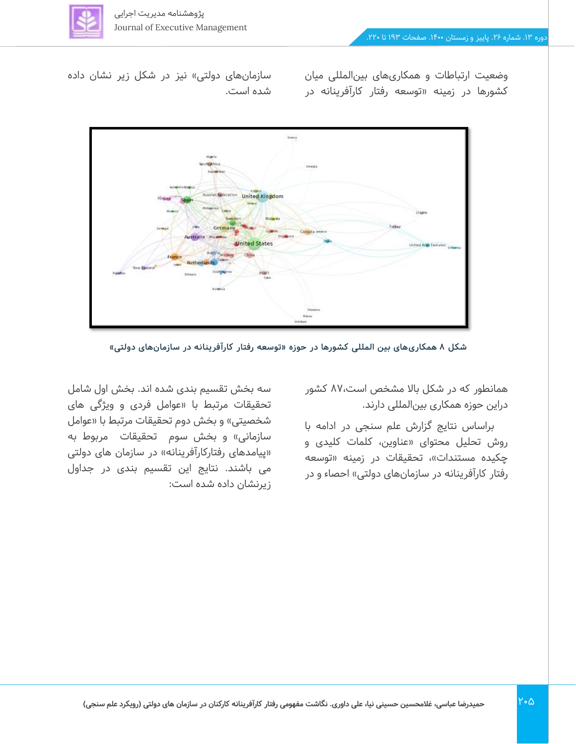

وضعیت ارتباطات و همکاریهای بینالمللی میان کشورها در زمینه »توسعه رفتار کارآفرینانه در

سازمانهای دولتی» نیز در شکل زیر نشان داده شده است.



**شکل 8 همکاری های بین المللی کشورها در حوزه »توسعه رفتار کارآفرینانه در سازمان های دولتی «** 

همانطور که در شکل باال مشخص است87، کشور دراین حوزه همکاری بینالمللی دارند.

براساس نتایج گزارش علم سنجی در ادامه با روش تحلیل محتوای »عناوین، کلمات کلیدی و چکیده مستندات»، تحقیقات در زمینه «توسعه رفتار کارآفرینانه در سازمانهای دولتی» احصاء و در

سه بخش تقسیم بندی شده اند. بخش اول شامل تحقیقات مرتبط با »عوامل فردی و ویژگی های شخصیتی» و بخش دوم تحقیقات مرتبط با «عوامل سازمانی» و بخش سوم تحقیقات مربوط به «پیامدهای رفتارکارآفرینانه» در سازمان های دولتی می باشند. نتایج این تقسیم بندی در جداول زیرنشان داده شده است: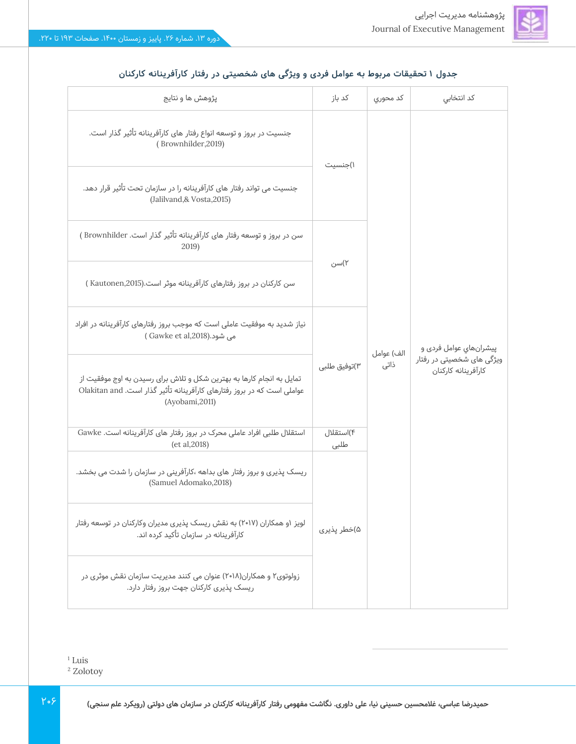| پژوهش ها و نتایج                                                                                                                                                   | کد باز            | كد محوري   | کد انتخابی                                       |  |  |
|--------------------------------------------------------------------------------------------------------------------------------------------------------------------|-------------------|------------|--------------------------------------------------|--|--|
| جنسیت در بروز و توسعه انواع رفتار های کارآفرینانه تأثیر گذار است.<br>(Brownhilder, 2019)                                                                           | ۱)جنسیت           |            |                                                  |  |  |
| جنسیت می تواند رفتار های کارآفرینانه را در سازمان تحت تأثیر قرار دهد.<br>(Jalilvand,& Vosta,2015)                                                                  |                   |            |                                                  |  |  |
| سن در بروز و توسعه رفتار های کارآفرینانه تأثیر گذار است. Brownhilder )<br>2019)                                                                                    |                   |            |                                                  |  |  |
| سن کارکنان در بروز رفتارهای کارآفرینانه موثر است.(Kautonen,2015 )                                                                                                  | ۲)سن              |            |                                                  |  |  |
| نیاز شدید به موفقیت عاملی است که موجب بروز رفتارهای کارآفرینانه در افراد<br>می شود.(Gawke et al,2018)                                                              |                   | الف) عوامل | پيشرانهاي عوامل فردی و                           |  |  |
| تمایل به انجام کارها به بهترین شکل و تلاش برای رسیدن به اوج موفقیت از<br>عواملی است که در بروز رفتارهای کارآفرینانه تأثیر گذار است. Olakitan and<br>(Ayobami,2011) | ۳)توفیق طلبی      | ذاتى       | ویژگی های شخصیتی در رفتار<br>كارآفرينانه كاركنان |  |  |
| استقلال طلبی افراد عاملی محرک در بروز رفتار های کارآفرینانه است. Gawke<br>(et al, 2018)                                                                            | ۴)استقلال<br>طلبى |            |                                                  |  |  |
| ریسک پذیری و بروز رفتار های بداهه ،کارآفرینی در سازمان را شدت می بخشد.<br>(Samuel Adomako, 2018)                                                                   |                   |            |                                                  |  |  |
| لویز ۱و همکاران (۲۰۱۷) به نقش ریسک پذیری مدیران وکارکنان در توسعه رفتار<br>کارآفرینانه در سازمان تأکید کرده اند.                                                   | ۵)خطر پذیری       |            |                                                  |  |  |
| زولوتوی۲ و همکاران(۲۰۱۸) عنوان می کنند مدیریت سازمان نقش موثری در<br>ریسک پذیری کارکنان جهت بروز رفتار دارد.                                                       |                   |            |                                                  |  |  |

### جدول ۱ تحقیقات مربوط به عوامل فردی و ویژگی های شخصیتی در رفتار کارآفرینانه کارکنان

 $1$  Luis

<sup>2</sup> Zolotoy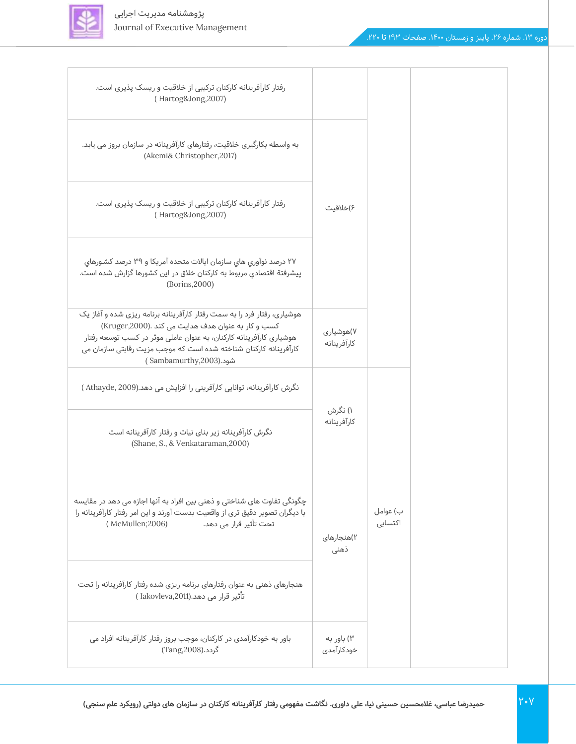

| رفتار کارآفرینانه کارکنان ترکیبی از خلاقیت و ریسک پذیری است.<br>(Hartog&Jong,2007)                                                                                                                                                                                                                  |                          |                     |
|-----------------------------------------------------------------------------------------------------------------------------------------------------------------------------------------------------------------------------------------------------------------------------------------------------|--------------------------|---------------------|
| به واسطه بکارگیری خلاقیت، رفتارهای کارآفرینانه در سازمان بروز می یابد.<br>(Akemi& Christopher, 2017)                                                                                                                                                                                                |                          |                     |
| رفتار کارآفرینانه کارکنان ترکیبی از خلاقیت و ریسک پذیری است.<br>(Hartog&Jong,2007)                                                                                                                                                                                                                  | ۶)خلاقیت                 |                     |
| ۲۷ درصد نوآوری های سازمان ایالات متحده آمریکا و ۳۹ درصد کشورهای<br>پیشرفتة اقتصادی مربوط به کارکنان خلاق در این کشورها گزارش شده است.<br>(Borins, 2000)                                                                                                                                             |                          |                     |
| هوشیاری، رفتار فرد را به سمت رفتار کارآفرینانه برنامه ریزی شده و آغاز یک<br>كسب و كار به عنوان هدف هدايت مى كند .(Kruger,2000)<br>هوشیاری کارآفرینانه کارکنان، به عنوان عاملی موثر در کسب توسعه رفتار<br>کارآفرینانه کارکنان شناخته شده است که موجب مزیت رقابتی سازمان می<br>شود.(Sambamurthy,2003) | ۷)هوشیاری<br>كارآفرينانه |                     |
| نگرش کارآفرینانه، توانایی کارآفرینی را افزایش می دهد.(Athayde, 2009)                                                                                                                                                                                                                                |                          |                     |
| نگرش کارآفرینانه زیر بنای نیات و رفتار کارآفرینانه است<br>(Shane, S., & Venkataraman, 2000)                                                                                                                                                                                                         | ۱) نگرش<br>كارآفرينانه   |                     |
| چگونگی تفاوت های شناختی و ذهنی بین افراد به آنها اجازه می دهد در مقایسه<br>با دیگران تصویر دقیق تری از واقعیت بدست آورند و این امر رفتار کارآفرینانه را<br>تحت تأثير قرار مي دهد.<br>(McMullen;2006)                                                                                                | ۲)هنجارهای<br>ذهنى       | ب) عوامل<br>اکتسابی |
| هنجارهای ذهنی به عنوان رفتارهای برنامه ریزی شده رفتار کارآفرینانه را تحت<br>تأثير قرار مي دهد.(Iakovleva,2011 )                                                                                                                                                                                     |                          |                     |
| باور به خودکارآمدی در کارکنان، موجب بروز رفتار کارآفرینانه افراد می<br>گردد.(Tang,2008)                                                                                                                                                                                                             | ۳) باور به<br>خودكارآمدى |                     |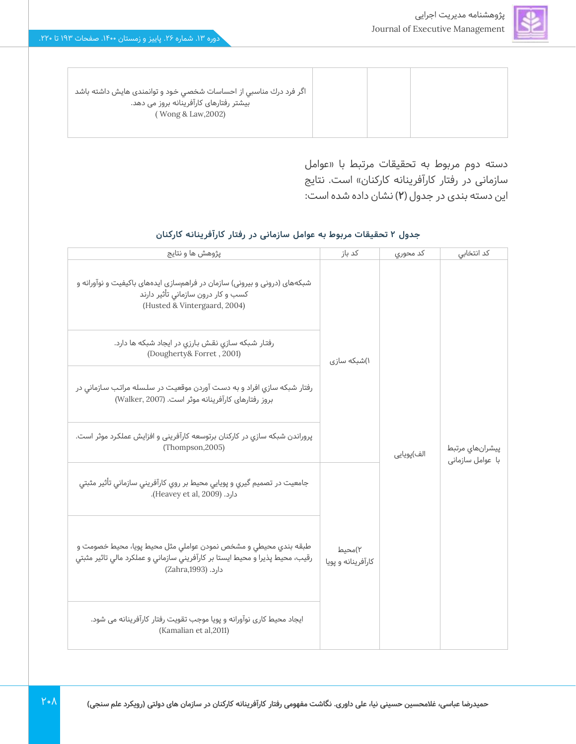| اگر فرد درك مناسبي از احساسات شخصي خود و توانمندی هايش داشته باشد<br>بیشتر رفتارهای کارآفرینانه بروز می دهد.<br>(Wong & Law, 2002) |  |  |
|------------------------------------------------------------------------------------------------------------------------------------|--|--|
|                                                                                                                                    |  |  |

دسته دوم مربوط به تحقیقات مرتبط با »عوامل سازمانی در رفتار کارآفرینانه کارکنان» است. نتایج این دسته بندی در جدول )**2**( نشان داده شده است:

| پژوهش ها و نتایج                                                                                                                                                      | کد باز                       | کد محوری   | کد انتخابی                          |  |
|-----------------------------------------------------------------------------------------------------------------------------------------------------------------------|------------------------------|------------|-------------------------------------|--|
| شبکههای (درونی و بیرونی) سازمان در فراهمسازی ایدههای باکیفیت و نوآورانه و<br>کسب و کار درون سازمانی تأثیر دارند<br>(Husted & Vintergaard, 2004)                       |                              |            |                                     |  |
| رفتار شبکه سازی نقش بارزی در ایجاد شبکه ها دارد.<br>(Dougherty& Forret, 2001)                                                                                         | ۱)شبکه سازی                  |            |                                     |  |
| رفتار شبکه سازی افراد و به دست آوردن موقعیت در سلسله مراتب سازمانی در<br>بروز رفتارهای کارآفرینانه موثر است. (Walker, 2007)                                           |                              |            |                                     |  |
| پروراندن شبکه سازي در کارکنان برتوسعه کارآفريني و افزايش عملکرد موثر است.<br>(Thompson, 2005)                                                                         |                              | الف)پويايي | پیشرانهای مرتبط<br>با عوامل سازمانی |  |
| جامعیت در تصمیم گیري و پویایي محیط بر روي کارآفریني سازمانی تأثیر مثبتی<br>دارد. (Heavey et al, 2009).                                                                |                              |            |                                     |  |
| طبقه بندي محيطى و مشخص نمودن عواملى مثل محيط پويا، محيط خصومت و<br>رقيب، محيط پذيرا و محيط ايستا بر كارآفريني سازماني و عملكرد مالي تاثير مثبتي<br>دارد. (Zahra,1993) | ۲)محیط<br>کارآفرینانه و پویا |            |                                     |  |
| ایجاد محیط کاری نوآورانه و پویا موجب تقویت رفتار کارآفرینانه می شود.<br>(Kamalian et al, 2011)                                                                        |                              |            |                                     |  |

#### **جدول 2 تحقیقات مربوط به عوامل سازمانی در رفتار کارآفرینانه کارکنان**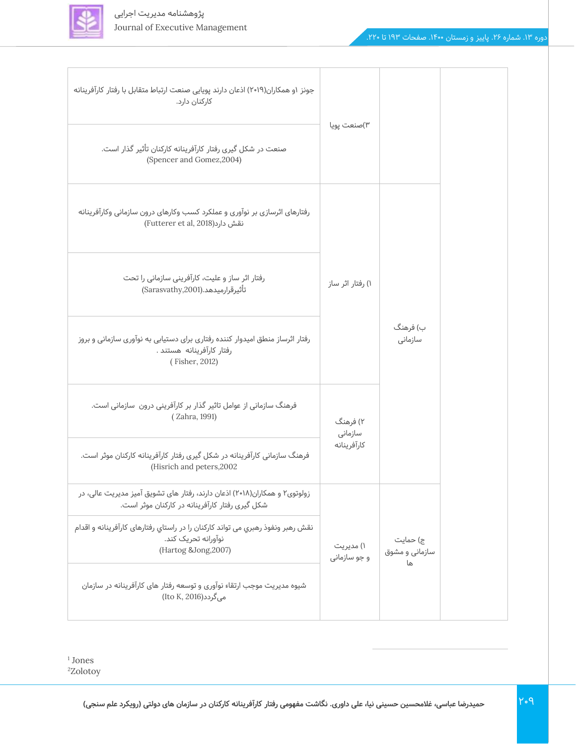

| جونز ۱و همکاران(۲۰۱۹) اذعان دارند پویایی صنعت ارتباط متقابل با رفتار کارآفرینانه<br>كاركنان دارد.                              | ۳)صنعت پویا               |                                  |  |
|--------------------------------------------------------------------------------------------------------------------------------|---------------------------|----------------------------------|--|
| صنعت در شکل گیری رفتار کارآفرینانه کارکنان تأثیر گذار است.<br>(Spencer and Gomez, 2004)                                        |                           |                                  |  |
| رفتارهای اثرسازی بر نوآوری و عملکرد کسب وکارهای درون سازمانی وکارآفرینانه<br>نقش دارد(Futterer et al, 2018)                    |                           |                                  |  |
| رفتار اثر ساز و علیت، کارآفرینی سازمانی را تحت<br>تأثيرقرارميدهد.(Sarasvathy,2001)                                             | ۱) رفتار اثر ساز          |                                  |  |
| رفتار اثرساز منطق امیدوار کننده رفتاری برای دستیابی به نوآوری سازمانی و بروز<br>رفتار كارآفرينانه هستند .<br>(Fisher, 2012)    |                           | ب) فرهنگ<br>سازمانى              |  |
| فرهنگ سازمانی از عوامل تاثیر گذار بر کارآفرینی درون سازمانی است.<br>(Zahra, 1991)                                              | ۲) فرهنگ<br>سازمانى       |                                  |  |
| فرهنگ سازمانی کارآفرینانه در شکل گیری رفتار کارآفرینانه کارکنان موثر است.<br>(Hisrich and peters, 2002                         | كارآفرينانه               |                                  |  |
| زولوتوی۲ و همکاران(۲۰۱۸) اذعان دارند، رفتار های تشویق آمیز مدیریت عالی، در<br>شکل گیری رفتار کارآفرینانه در کارکنان موثر است.  |                           |                                  |  |
| نقش رهبر ونفوذ رهبري مي تواند كاركنان را در راستاي رفتارهاي كارآفرينانه و اقدام<br>نوآورانه تحریک کند.<br>(Hartog &Jong, 2007) | ۱) مدیریت<br>و جو سازمانی | ج) حمایت<br>سازمانی و مشوق<br>ها |  |
| شیوه مدیریت موجب ارتقاء نوآوری و توسعه رفتار های کارآفرینانه در سازمان<br>می گردد(Ito K, 2016)                                 |                           |                                  |  |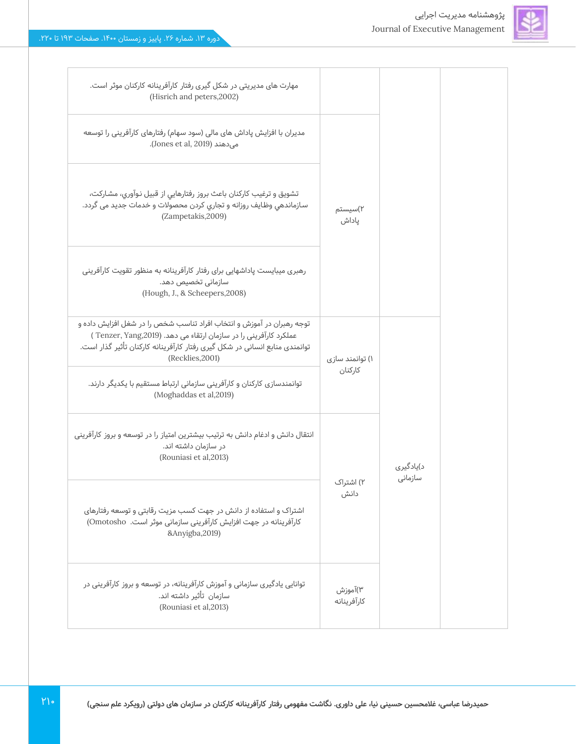

Г

| مهارت های مدیریتی در شکل گیری رفتار کارآفرینانه کارکنان موثر است.<br>(Hisrich and peters, 2002)                                                                                                                                              |                            |                      |
|----------------------------------------------------------------------------------------------------------------------------------------------------------------------------------------------------------------------------------------------|----------------------------|----------------------|
| مدیران با افزایش پاداش های مالی (سود سهام) رفتارهای کارآفرینی را توسعه<br>می دهند (Jones et al, 2019).                                                                                                                                       |                            |                      |
| تشويق و ترغيب كاركنان باعث بروز رفتارهايي از قبيل نوآوري، مشاركت،<br>سازماندهي وظايف روزانه و تجاري كردن محصولات و خدمات جديد مى گردد.<br>(Zampetakis, 2009)                                                                                 | ۲)سیستم<br>پاداش           |                      |
| رهبری میبایست پاداشهایی برای رفتار کارآفرینانه به منظور تقویت کارآفرینی<br>سازمانی تخصیص دهد.<br>(Hough, J., & Scheepers, 2008)                                                                                                              |                            |                      |
| توجه رهبران در آموزش و انتخاب افراد تناسب شخص را در شغل افزایش داده و<br>عملکرد کارآفرینی را در سازمان ارتقاء می دهد. (Tenzer, Yang,2019)<br>توانمندی منابع انسانی در شکل گیری رفتار کارآفرینانه کارکنان تأثیر گذار است.<br>(Recklies, 2001) | ۱) توانمند سازی<br>كاركنان |                      |
| توانمندسازی کارکنان و کارآفرینی سازمانی ارتباط مستقیم با یکدیگر دارند.<br>(Moghaddas et al, 2019)                                                                                                                                            |                            |                      |
| انتقال دانش و ادغام دانش به ترتیب بیشترین امتیاز را در توسعه و بروز کارآفرینی<br>در سازمان داشته اند.<br>(Rouniasi et al, 2013)                                                                                                              |                            | د)يادگيري<br>سازمانى |
| اشتراک و استفاده از دانش در جهت کسب مزیت رقابتی و توسعه رفتارهای<br>کارآفرینانه در جهت افزایش کارآفرینی سازمانی موثر است. Omotosho)<br>&Anyigba,2019)                                                                                        | ۲) اشتراک<br>دانش          |                      |
| توانایی یادگیری سازمانی و آموزش کارآفرینانه، در توسعه و بروز کارآفرینی در<br>سازمان تأثير داشته اند.<br>(Rouniasi et al, 2013)                                                                                                               | ۳)آموزش<br>كارآفرينانه     |                      |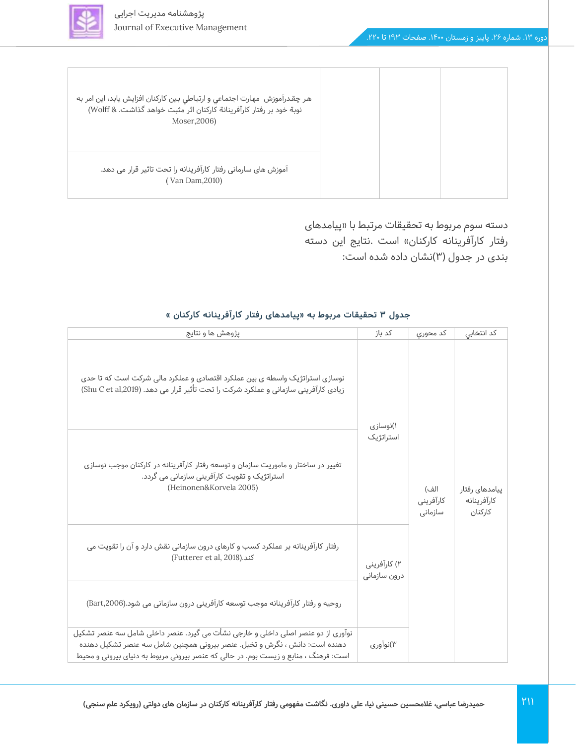

| هر چقدرآموزش  مهارت اجتماعي و ارتباطي بين كاركنان افزايش يابد، اين امر به<br>نوبة خود بر رفتار كارآفرينانة كاركنان اثر مثبت خواهد گذاشت. & Wolff)<br>Moser, 2006) |  |
|-------------------------------------------------------------------------------------------------------------------------------------------------------------------|--|
| آموزش های سارمانی رفتار کارآفرینانه را تحت تاثیر قرار می دهد.<br>(Van Dam, 2010)                                                                                  |  |

دسته سوم مربوط به تحقیقات مرتبط با »پیامدهای رفتار کارآفرینانه کارکنان» است .نتایج این دسته بندی در جدول (۳)نشان داده شده است:

| پژوهش ها و نتایج                                                                                                                                                                                                                                     | کد باز                       | كد محوري                     | كد انتخابي                               |
|------------------------------------------------------------------------------------------------------------------------------------------------------------------------------------------------------------------------------------------------------|------------------------------|------------------------------|------------------------------------------|
| نوسازی استراتژیک واسطه ی بین عملکرد اقتصادی و عملکرد مالی شرکت است که تا حدی<br>زیادی کارآفرینی سازمانی و عملکرد شرکت را تحت تأثیر قرار می دهد. (Shu C et al,2019)                                                                                   | ۱)نوسازی                     |                              |                                          |
| تغییر در ساختار و ماموریت سازمان و توسعه رفتار کارآفرینانه در کارکنان موجب نوسازی<br>استراتژیک و تقویت کارآفرینی سازمانی می گردد.<br>(Heinonen&Korvela 2005)                                                                                         | استراتژیک                    | الف)<br>كارآفرينى<br>سازمانى | پیامدهای رفتار<br>كارآفرينانه<br>كاركنان |
| رفتار کارآفرینانه بر عملکرد کسب و کارهای درون سازمانی نقش دارد و آن را تقویت می<br>(Futterer et al, 2018). كند                                                                                                                                       | ۲) کارآفرینی<br>درون سازمانى |                              |                                          |
| روحیه و رفتار کارآفرینانه موجب توسعه کارآفرینی درون سازمانی می شود.(Bart,2006)                                                                                                                                                                       |                              |                              |                                          |
| نوآوری از دو عنصر اصلی داخلی و خارجی نشأت می گیرد. عنصر داخلی شامل سه عنصر تشکیل<br>دهنده است: دانش ، نگرش و تخیل. عنصر بیرونی همچنین شامل سه عنصر تشکیل دهنده<br>است: فرهنگ ، منابع و زیست بوم. در حالی که عنصر بیرونی مربوط به دنیای بیرونی و محیط | ۳)نوآوری                     |                              |                                          |

#### **جدول 3 تحقیقات مربوط به »پیامدهای رفتار کارآفرینانه کارکنان «**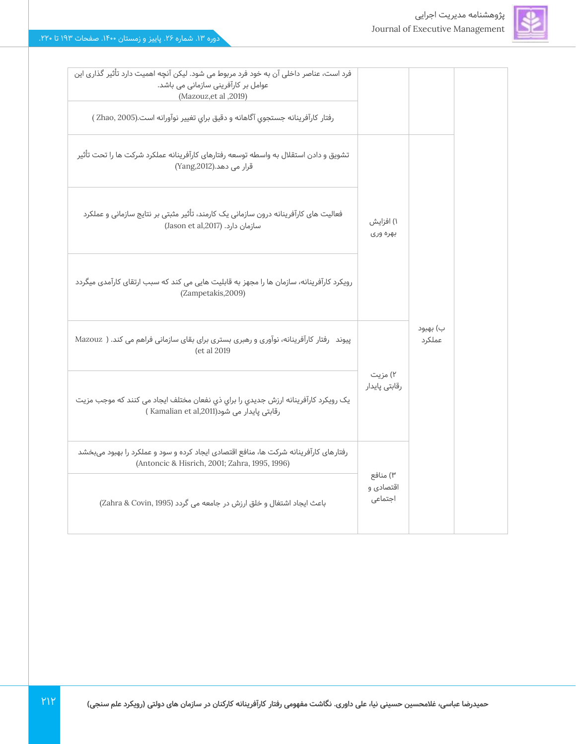

فرد است، عناصر داخلی آن به خود فرد مربوط می شود. لیکن آنچه اهمیت دارد تأثیر گذاری این

| ۱) افزایش<br>بهره وری |                     |  |
|-----------------------|---------------------|--|
|                       |                     |  |
|                       | ب) بهبود<br>عملكرد  |  |
| رقابتی پایدار         |                     |  |
|                       |                     |  |
| اقتصادی و<br>اجتماعى  |                     |  |
|                       | ۲) مزیت<br>۳) منافع |  |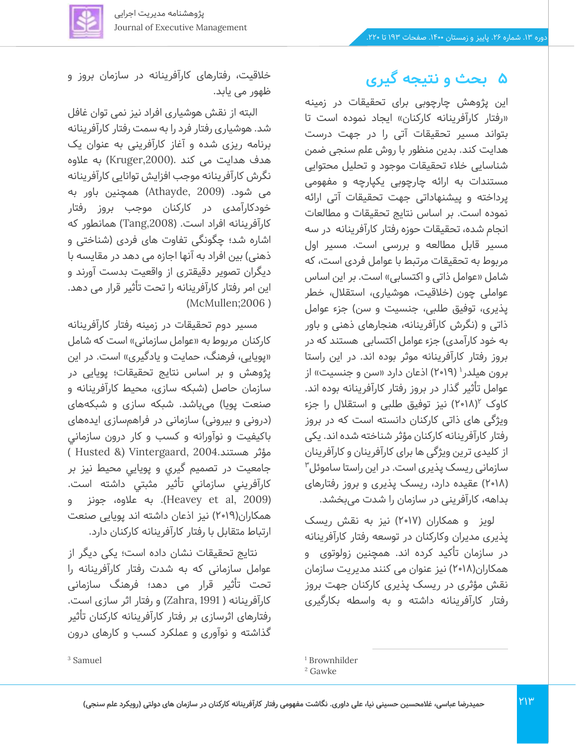

# **5 بحث و نتیجه گیری**

این پژوهش چارچوبی برای تحقیقات در زمینه «رفتار کارآفرینانه کارکنان» ایجاد نموده است تا بتواند مسیر تحقیقات آتی را در جهت درست هدایت کند. بدین منظور با روش علم سنجی ضمن شناسایی خالء تحقیقات موجود و تحلیل محتوایی مستندات به ارائه چارچوبی يكپارچه و مفهومی پرداخته و پیشنهاداتی جهت تحقیقات آتی ارائه نموده است. بر اساس نتایج تحقیقات و مطالعات انجام شده، تحقیقات حوزه رفتار کارآفرینانه در سه مسیر قابل مطالعه و بررسی است. مسیر اول مربوط به تحقیقات مرتبط با عوامل فردی است، که شامل «عوامل ذاتی و اکتسابی» است. بر این اساس عواملی چون (خلاقیت، هوشیاری، استقلال، خطر پذیری، توفیق طلبی، جنسیت و سن( جزء عوامل ذاتی و )نگرش کارآفرینانه، هنجارهای ذهنی و باور به خود کارآمدی) جزء عوامل اکتسابی هستند که در بروز رفتار کارآفرینانه موثر بوده اند. در این راستا برون هیلدر' (۲۰۱۹) اذعان دارد «سن و جنسیت» از عوامل تأثیر گذار در بروز رفتار کارآفرینانه بوده اند. کاوک ۲۰۱۸)۲ نیز توفیق طلبی و استقلال را جزء ویژگی های ذاتی کارکنان دانسته است که در بروز رفتار کارآفرینانه کارکنان مؤثر شناخته شده اند. یکی از کلیدی ترین ویژگی ها برای کارآفرینان و کارآفرینان  $"$ سازمانی ریسک پذیری است. در این راستا ساموئل )2018( عقیده دارد، ر یسک پذیری و بروز رفتارهای بداهه، کارآفرینی در سازمان را شدت میبخشد.

لویز و همکاران (۲۰۱۷) نیز به نقش ریسک پذیری مدیران وکارکنان در توسعه رفتار کارآفرینانه در سازمان تأکید کرده اند. همچنین زولوتوی و همکاران(۱۸ه-۲) نیز عنوان می کنند مدیریت سازمان نقش مؤثری در ریسک پذیری کارکنان جهت بروز رفتار کارآفرینانه داشته و به واسطه بکارگیری

خالقیت، رفتارهای کارآفرینانه در سازمان بروز و ظهور می یابد.

البته از نقش هوشیاری افراد نیز نمی توان غافل شد. هوشیاری رفتار فرد را به سمت رفتار کارآفرینانه برنامه ریزی شده و آغاز کارآفرینی به عنوان یک هدف هدایت می کند .(Kruger,2000) به علاوه نگرش کارآفرینانه موجب افزایش توانایی کارآفرینانه می شود. (2009 ,Athayde )همچنین باور به خودکارآمدی در کارکنان موجب بروز رفتار کارآفرینانه افراد است. ),2008Tang )همانطور که اشاره شد؛ چگونگی تفاوت های فردی )شناختی و ذهنی) بین افراد به آنها اجازه می دهد در مقایسه با دیگران تصویر دقیقتری از واقعیت بدست آورند و این امر رفتار کارآفرینانه را تحت تأثیر قرار می دهد.  $(Mc$ Mullen; $2006$ )

مسیر دوم تحقیقات در زمینه رفتار کارآفرینانه کارکنان مربوط به «عوامل سازمانی» است که شامل «پویایی، فرهنگ، حمایت و یادگیری» است. در این پژوهش و بر اساس نتایج تحقیقات؛ پویایی در سازمان حاصل )شبکه سازی، محیط کارآفرینانه و صنعت پویا) می،باشد. شبکه سازی و شبکههای (درونی و بیرونی) سازمانی در فراهمسازی ایدههای باکیفیت و نوآورانه و كسب و كار درون سازماني مؤثر هستند2004. ,Vintergaard &) Husted ) جامعيت در تصميم گيري و پويايي محيط نیز بر كارآفريني سازماني تأثير مثبتي داشته است. )2009 ,al et Heavey). به عالوه، جونز و همکاران(۲۰۱۹) نیز اذعان داشته اند پویایی صنعت ارتباط متقابل با رفتار کارآفرینانه کارکنان دارد.

نتایج تحقیقات نشان داده است؛ یکی دیگر از عوامل سازمانی که به شدت رفتار کارآفرینانه را تحت تأثیر قرار می دهد؛ فرهنگ سازمانی کارآفرینانه ) 1991 ,Zahra )و رفتار اثر سازی است. رفتارهای اثرسازی بر رفتار کارآفرینانه کارکنان تأثیر گذاشته و نوآوری و عملکرد کسب و کارهای درون

<sup>3</sup> Samuel

<sup>1</sup> Brownhilder

<sup>2</sup> Gawke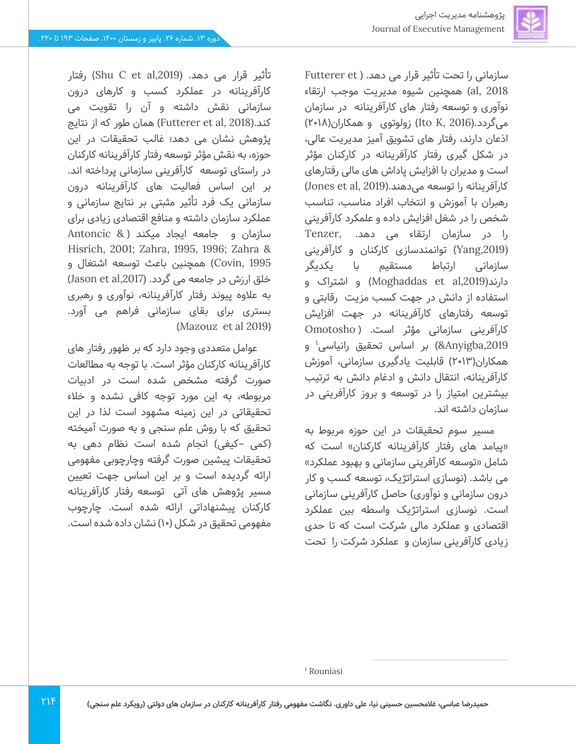

سازمانی را تحت تأثیر قرار می دهد. ( Futterer et 2018 ,al )همچنین شیوه مدیریت موجب ارتقاء نوآوری و توسعه رفتار های کارآفرینانه در سازمان میگردد.(Ito K, 2016) زولوتوی و همکاران(۲۰۱۸) اذعان دارند، رفتار های تشویق آمیز مدیریت عالی، در شکل گیری رفتار کارآفرینانه در کارکنان مؤثر است و مدیران با افزایش پاداش های مالی رفتارهای کارآفرینانه را توسعه می دهند.(Jones et al, 2019) رهبران با آموزش و انتخاب افراد مناسب، تناسب شخص را در شغل افزایش داده و علمکرد کارآفرینی را در سازمان ارتقاء می دهد. ,Tenzer (,2019Yang )توانمندسازی کارکنان و کارآفرینی سازمانی ارتباط مستقیم با یکدیگر دارند(,2019al et Moghaddas )و اشتراک و استفاده از دانش در جهت کسب مزیت رقابتی و توسعه رفتارهای کارآفرینانه در جهت افزایش کارآفرینی سازمانی مؤثر است. ) Omotosho 4Anyigba,2019) بر اساس تحقیق رانیاسی<sup>۱</sup> و همکاران(۲۰۱۳) قابلیت یادگیری سازمانی، آموزش کارآفرینانه، انتقال دانش و ادغام دانش به ترتیب بیشترین امتیاز را در توسعه و بروز کارآفرینی در سازمان داشته اند.

مسیر سوم تحقیقات در این حوزه مربوط به «پیامد های رفتار کارآفرینانه کارکنان» است که شامل »توسعه کارآفرینی سازمانی و بهبود عملکرد« می باشد. )نوسازی استراتژیک، توسعه کسب و کار درون سازمانی و نوآوری) حاصل کارآفرینی سازمانی است. نوسازی استراتژیک واسطه بین عملکرد اقتصادی و عملکرد مالی شرکت است که تا حدی زیادی کارآفرینی سازمان و عملکرد شرکت را تحت

تأثیر قرار می دهد. (Shu C et al,2019) رفتار کار آفرینانه در عملكرد کسب و کارهای درون سازمانی نقش داشته و آن را تقویت می کند.)2018 ,al et Futterer )همان طور که از نتایج پژوهش نشان می دهد؛ غالب تحقیقات در این حوزه، به نقش مؤثر توسعه رفتار کارآفرینانه کارکنان در راستای توسعه کارآفرینی سازمانی پرداخته اند. بر این اساس فعالیت های کارآفرینانه درون سازمانی یک فرد تأثیر مثبتی بر نتایج سازمانی و عملکرد سازمان داشته و منافع اقتصادی زیادی برای سازمان و جامعه ایجاد میکند ) & Antoncic Hisrich, 2001; Zahra, 1995, 1996; Zahra & 1995 ,Covin )همچنین باعث توسعه اشتغال و خلق ارزش در جامعه می گردد. (Jason et al,2017 به عالوه پیوند رفتار کارآفرینانه، نوآوری و رهبری بستری برای بقای سازمانی فراهم می آورد. (Mazouz et al 2019)

عوامل متعددی وجود دارد که بر ظهور رفتار های کارآفرینانه کارکنان مؤثر است. با توجه به مطالعات صورت گرفته مشخص شده است در ادبیات مربوطه، به این مورد توجه کافی نشده و خالء تحقیقاتی در این زمینه مشهود است لذا در این تحقیق که با روش علم سنجی و به صورت آمیخته (کمی –کیفی) انجام شده است نظام دهی به تحقیقات پیشین صورت گرفته وچارچوبی مفهومی ارائه گردیده است و بر این اساس جهت تعیین مسیر پژوهش های آتی ِ توسعه رفتار کارآفرینانه کارکنان پیشنهاداتی ارائه شده است. چارچوب مفهومی تحقیق در شکل (۱۰) نشان داده شده است.

<sup>1</sup> Rouniasi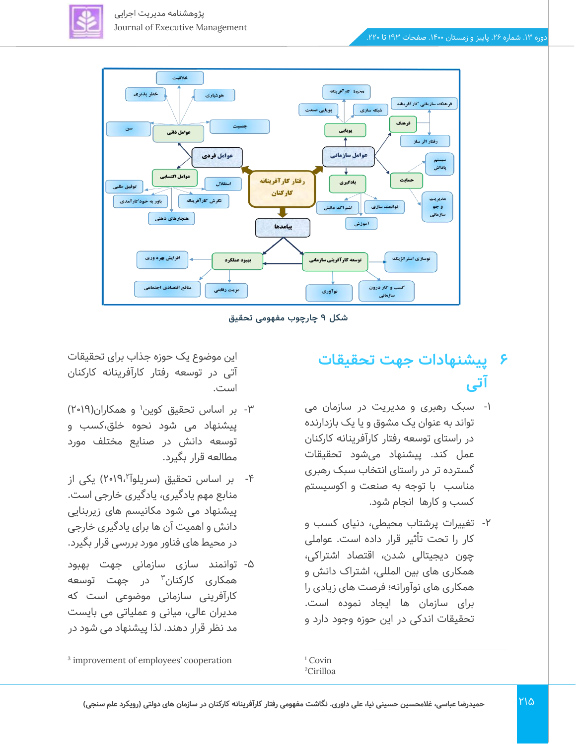



**شکل 9 چارچوب مفهومی تحقیق** 

# **6 پیشنهادات جهت تحقیقات آتی**

- -1 سبک رهبری و مدیری ت در سازمان م ی تواند به عنوان یک مشوق و یا یک بازدارنده در راستای توسعه رفتار کارآفرینانه کارکنان عمل کند. پیشنهاد میشود تحقیقات گسترده تر در راستای انتخاب سبک رهبری مناسب با توجه به صنعت و اکوسیستم کسب و کار ها انجام شود.
- -2 تغییرات پرشتاب محیطی، دنیای کسب و کار را تحت تأثیر قرار داده است. عواملی چون دیجیتالی شدن، اقتصاد اشتراکی، همکاری های بین المللی، اشتراک دانش و همکاری های نوآورانه؛ فرصت های زیادی را برای سازمان ها ایجاد نموده است. تحقیقات اندکی در این حوزه وجود دارد و

این موضوع یک حوزه جذاب برای تحقیقات آتی در توسعه رفتار کارآفرینانه کارکنان است.

- ۳- بر اساس تحقیق کوین<sup>۱</sup> و همکاران(۲۰۱۹) پیشنهاد می شود نحوه خلق،کسب و توسعه دانش در صنایع مختلف مورد مطالعه قرار بگیرد.
- ۴- بر اساس تحقیق (سریلوآ ۲۰۱۹،<sup>۲</sup>) یکی از منابع مهم یادگیری، یادگیری خارجی است. پیشنهاد می شود مکانیسم های ز یربنایی دانش و اهمیت آن ها برای یادگیری خارجی در محیط های فناور مورد بررسی قرار بگیرد.
- -5 توانمند سازی سازمانی جهت بهبود همکاری کارکنان<sup>۳</sup> در جهت توسعه کارآفرینی سازمانی موضوعی است که مدیران عالی، میانی و عملیاتی می بایست مد نظر قرار دهند. لذا پیشنهاد می شود در

 $1$  Covin <sup>2</sup>Cirilloa

3 improvement of employees' cooperation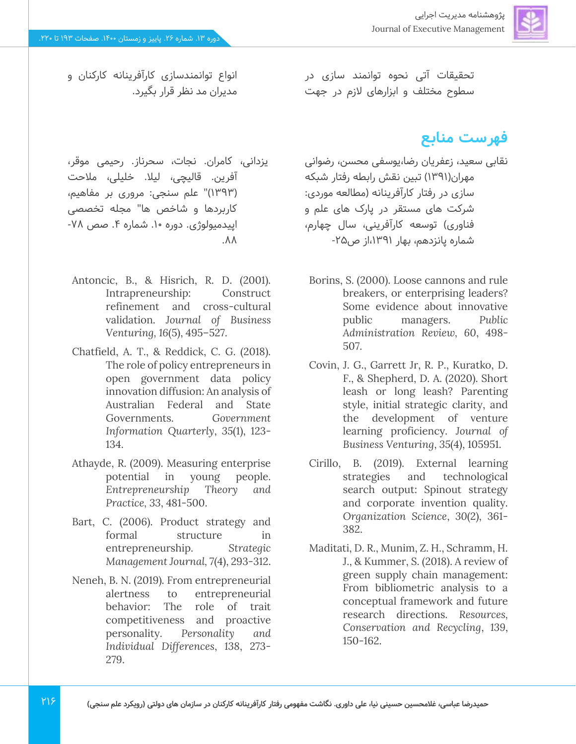تحقیقات آتی نحوه توانمند سازی در سطوح مختلف و ابزارهای الزم در جهت

## **فهرست منابع**

نقابی سعید، زعفریان رضا،یوسفی محسن، رضوانی مهران)1391( تبین نقش رابطه رفتار شبکه سازی در رفتار کارآفرینانه )مطالعه موردی: شرکت های مستقر در پارک های علم و فناوری) توسعه کارآفرینی، سال چهارم، شماره پانزدهم، بهار ،1391از ص-25

- Borins, S. (2000). Loose cannons and rule breakers, or enterprising leaders? Some evidence about innovative public managers. *Public Administration Review, 60*, 498- 507.
- Covin, J. G., Garrett Jr, R. P., Kuratko, D. F., & Shepherd, D. A. (2020). Short leash or long leash? Parenting style, initial strategic clarity, and the development of venture learning proficiency. *Journal of Business Venturing*, *35*(4), 105951.
- Cirillo, B. (2019). External learning strategies and technological search output: Spinout strategy and corporate invention quality. *Organization Science*, *30*(2), 361- 382.
- Maditati, D. R., Munim, Z. H., Schramm, H. J., & Kummer, S. (2018). A review of green supply chain management: From bibliometric analysis to a conceptual framework and future research directions. *Resources, Conservation and Recycling*, *139*, 150-162.

انواع توانمندسازی کارآفرینانه کارکنان و مدیران مد نظر قرار بگیرد.

- یزدانی، کامران. نجات، سحرناز. رحیمی موقر، آفرین. قالیچی، لیلا. خلیلی، ملاحت (۱۳۹۳)" علم سنجی: مروری بر مفاهیم، کاربردها و شاخص ها" مجله تخصصی اپیدمیولوژی. دوره ۱۰. شماره ۴. صص ۷۸- $.88$
- Antoncic, B., & Hisrich, R. D. (2001). Intrapreneurship: Construct refinement and cross-cultural validation. *Journal of Business Venturing, 16*(5), 495–527.
- Chatfield, A. T., & Reddick, C. G. (2018). The role of policy entrepreneurs in open government data policy innovation diffusion: An analysis of Australian Federal and State Governments. *Government Information Quarterly*, *35*(1), 123- 134.
- Athayde, R. (2009). Measuring enterprise potential in young people. *Entrepreneurship Theory and Practice, 33*, 481-500.
- Bart, C. (2006). Product strategy and formal structure in entrepreneurship. *Strategic Management Journal, 7*(4), 293-312.
- Neneh, B. N. (2019). From entrepreneurial alertness to entrepreneurial behavior: The role of trait competitiveness and proactive personality. *Personality and Individual Differences*, *138*, 273- 279.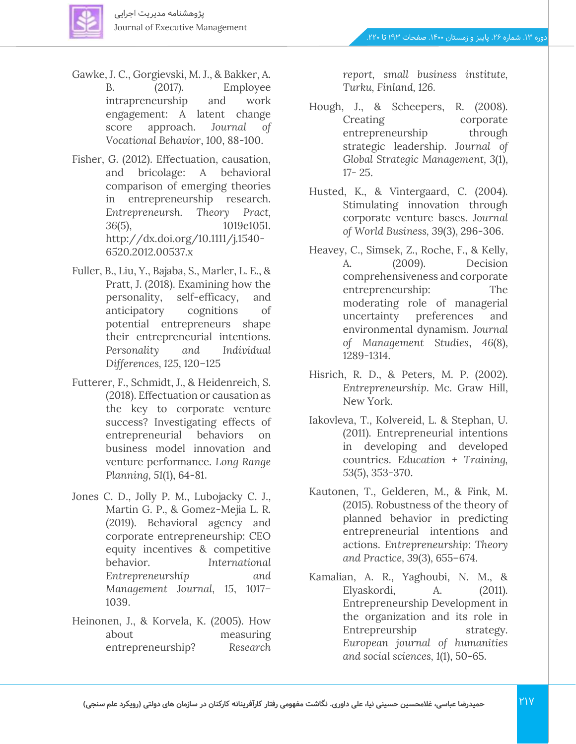

- Gawke, J. C., Gorgievski, M. J., & Bakker, A. B. (2017). Employee intrapreneurship and work engagement: A latent change score approach. *Journal of Vocational Behavior*, *100*, 88-100.
- Fisher, G. (2012). Effectuation, causation, and bricolage: A behavioral comparison of emerging theories in entrepreneurship research. *Entrepreneursh. Theory Pract, 36*(5), 1019e1051. http://dx.doi.org/10.1111/j.1540- 6520.2012.00537.x
- Fuller, B., Liu, Y., Bajaba, S., Marler, L. E., & Pratt, J. (2018). Examining how the personality, self-efficacy, and anticipatory cognitions of potential entrepreneurs shape their entrepreneurial intentions. *Personality and Individual Differences, 125*, 120–125
- Futterer, F., Schmidt, J., & Heidenreich, S. (2018). Effectuation or causation as the key to corporate venture success? Investigating effects of entrepreneurial behaviors on business model innovation and venture performance. *Long Range Planning, 51*(1), 64-81.
- Jones C. D., Jolly P. M., Lubojacky C. J., Martin G. P., & Gomez-Mejia L. R. (2019). Behavioral agency and corporate entrepreneurship: CEO equity incentives & competitive behavior. *International Entrepreneurship and Management Journal, 15*, 1017– 1039.
- Heinonen, J., & Korvela, K. (2005). How about measuring entrepreneurship? *Research*

*report, small business institute, Turku, Finland, 126.*

- Hough, J., & Scheepers, R. (2008). Creating corporate entrepreneurship through strategic leadership. *Journal of Global Strategic Management, 3*(1), 17- 25.
- Husted, K., & Vintergaard, C. (2004). Stimulating innovation through corporate venture bases. *Journal of World Business, 39*(3), 296-306.
- Heavey, C., Simsek, Z., Roche, F., & Kelly, A. (2009). Decision comprehensiveness and corporate entrepreneurship: The moderating role of managerial uncertainty preferences and environmental dynamism. *Journal of Management Studies*, *46*(8), 1289-1314.
- Hisrich, R. D., & Peters, M. P. (2002). *Entrepreneurship*. Mc. Graw Hill, New York.
- Iakovleva, T., Kolvereid, L. & Stephan, U. (2011). Entrepreneurial intentions in developing and developed countries. *Education + Training, 53*(5), 353-370.
- Kautonen, T., Gelderen, M., & Fink, M. (2015). Robustness of the theory of planned behavior in predicting entrepreneurial intentions and actions. *Entrepreneurship: Theory and Practice, 39*(3), 655–674.
- Kamalian, A. R., Yaghoubi, N. M., & Elyaskordi, A. (2011). Entrepreneurship Development in the organization and its role in Entrepreurship strategy. *European journal of humanities and social sciences, 1*(1), 50-65.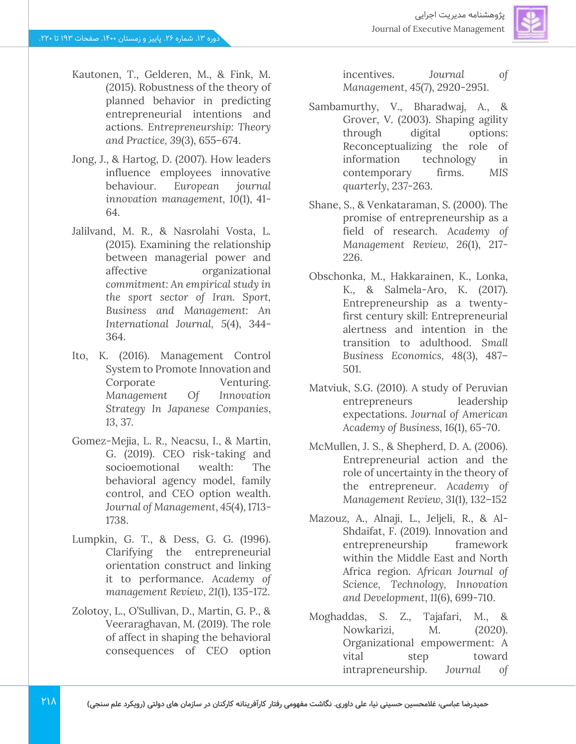

- Kautonen, T., Gelderen, M., & Fink, M. (2015). Robustness of the theory of planned behavior in predicting entrepreneurial intentions and actions. *Entrepreneurship: Theory and Practice, 39*(3), 655–674.
- Jong, J., & Hartog, D. (2007). How leaders influence employees innovative behaviour. *European journal innovation management, 10*(1), 41- 64.
- Jalilvand, M. R., & Nasrolahi Vosta, L. (2015). Examining the relationship between managerial power and affective organizational *commitment: An empirical study in the sport sector of Iran. Sport, Business and Management: An International Journal, 5*(4), 344- 364.
- Ito, K. (2016). Management Control System to Promote Innovation and Corporate Venturing. *Management Of Innovation Strategy In Japanese Companies*, *13*, 37.
- Gomez-Mejia, L. R., Neacsu, I., & Martin, G. (2019). CEO risk-taking and socioemotional wealth: The behavioral agency model, family control, and CEO option wealth. *Journal of Management*, *45*(4), 1713- 1738.
- Lumpkin, G. T., & Dess, G. G. (1996). Clarifying the entrepreneurial orientation construct and linking it to performance. *Academy of management Review*, *21*(1), 135-172.
- Zolotoy, L., O'Sullivan, D., Martin, G. P., & Veeraraghavan, M. (2019). The role of affect in shaping the behavioral consequences of CEO option

incentives. *Journal of Management*, *45*(7), 2920-2951.

- Sambamurthy, V., Bharadwaj, A., & Grover, V. (2003). Shaping agility through digital options: Reconceptualizing the role of information technology in contemporary firms. *MIS quarterly*, 237-263.
- Shane, S., & Venkataraman, S. (2000). The promise of entrepreneurship as a field of research. Academy of *Management Review, 26*(1), 217- 226.
- Obschonka, M., Hakkarainen, K., Lonka, K., & Salmela-Aro, K. (2017). Entrepreneurship as a twentyfirst century skill: Entrepreneurial alertness and intention in the transition to adulthood. *Small Business Economics, 48*(3), 487– 501.
- Matviuk, S.G. (2010). A study of Peruvian entrepreneurs leadership expectations. *Journal of American Academy of Business, 16*(1), 65-70.
- McMullen, J. S., & Shepherd, D. A. (2006). Entrepreneurial action and the role of uncertainty in the theory of the entrepreneur. *Academy of Management Review, 31*(1), 132–152
- Mazouz, A., Alnaji, L., Jeljeli, R., & Al-Shdaifat, F. (2019). Innovation and entrepreneurship framework within the Middle East and North Africa region. *African Journal of Science, Technology, Innovation and Development*, *11*(6), 699-710.
- Moghaddas, S. Z., Tajafari, M., & Nowkarizi, M. (2020). Organizational empowerment: A vital step toward intrapreneurship. *Journal of*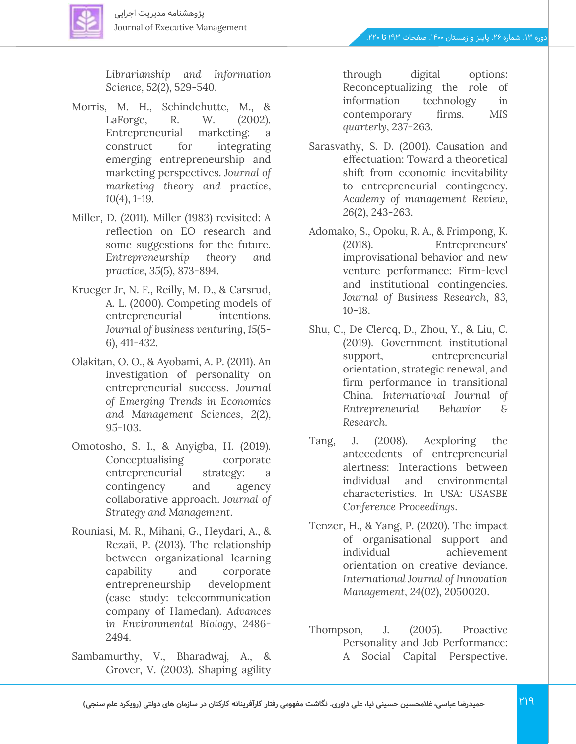

*Librarianship and Information Science*, *52*(2), 529-540.

- Morris, M. H., Schindehutte, M., & LaForge, R. W. (2002). Entrepreneurial marketing: a construct for integrating emerging entrepreneurship and marketing perspectives. *Journal of marketing theory and practice*, *10*(4), 1-19.
- Miller, D. (2011). Miller (1983) revisited: A reflection on EO research and some suggestions for the future. *Entrepreneurship theory and practice*, *35*(5), 873-894.
- Krueger Jr, N. F., Reilly, M. D., & Carsrud, A. L. (2000). Competing models of entrepreneurial intentions. *Journal of business venturing*, *15*(5- 6), 411-432.
- Olakitan, O. O., & Ayobami, A. P. (2011). An investigation of personality on entrepreneurial success. *Journal of Emerging Trends in Economics and Management Sciences*, *2*(2), 95-103.
- Omotosho, S. I., & Anyigba, H. (2019). Conceptualising corporate entrepreneurial strategy: a contingency and agency collaborative approach. *Journal of Strategy and Management*.
- Rouniasi, M. R., Mihani, G., Heydari, A., & Rezaii, P. (2013). The relationship between organizational learning capability and corporate entrepreneurship development (case study: telecommunication company of Hamedan). *Advances in Environmental Biology*, 2486- 2494.
- Sambamurthy, V., Bharadwaj, A., & Grover, V. (2003). Shaping agility

through digital options: Reconceptualizing the role of information technology in contemporary firms. *MIS quarterly*, 237-263.

- Sarasvathy, S. D. (2001). Causation and effectuation: Toward a theoretical shift from economic inevitability to entrepreneurial contingency. *Academy of management Review*, *26*(2), 243-263.
- Adomako, S., Opoku, R. A., & Frimpong, K. (2018). Entrepreneurs' improvisational behavior and new venture performance: Firm-level and institutional contingencies. *Journal of Business Research*, *83*, 10-18.
- Shu, C., De Clercq, D., Zhou, Y., & Liu, C. (2019). Government institutional support, entrepreneurial orientation, strategic renewal, and firm performance in transitional China. *International Journal of Entrepreneurial Behavior & Research*.
- Tang, J. (2008). Aexploring the antecedents of entrepreneurial alertness: Interactions between individual and environmental characteristics. In *USA: USASBE Conference Proceedings*.
- Tenzer, H., & Yang, P. (2020). The impact of organisational support and individual achievement orientation on creative deviance. *International Journal of Innovation Management*, *24*(02), 2050020.
- Thompson, J. (2005). Proactive Personality and Job Performance: A Social Capital Perspective.